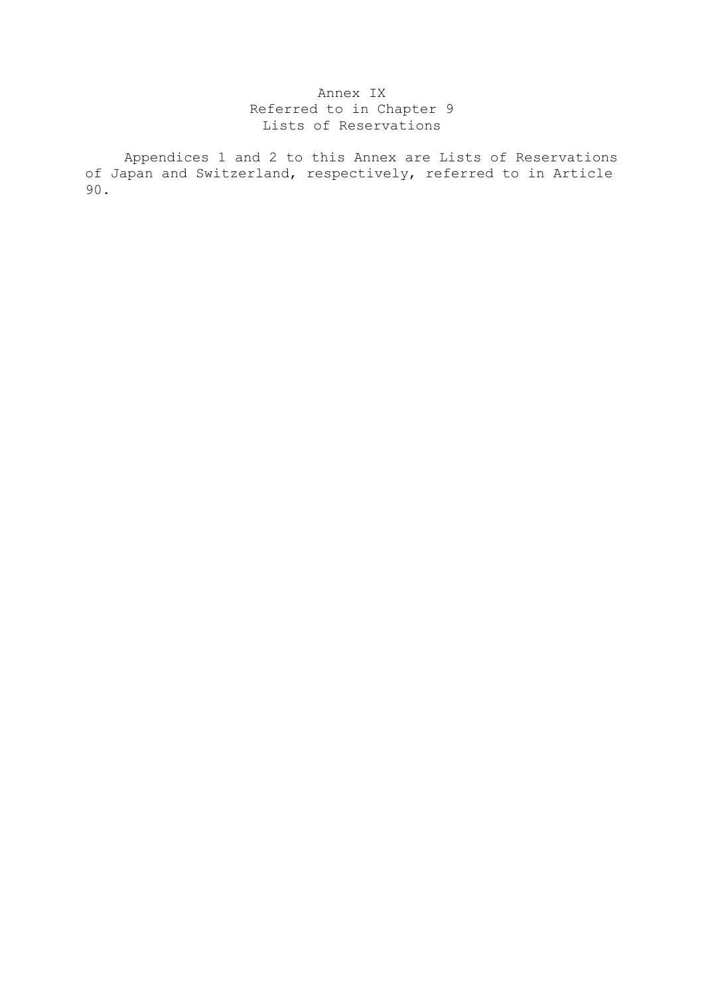## Annex IX Referred to in Chapter 9 Lists of Reservations

 Appendices 1 and 2 to this Annex are Lists of Reservations of Japan and Switzerland, respectively, referred to in Article 90.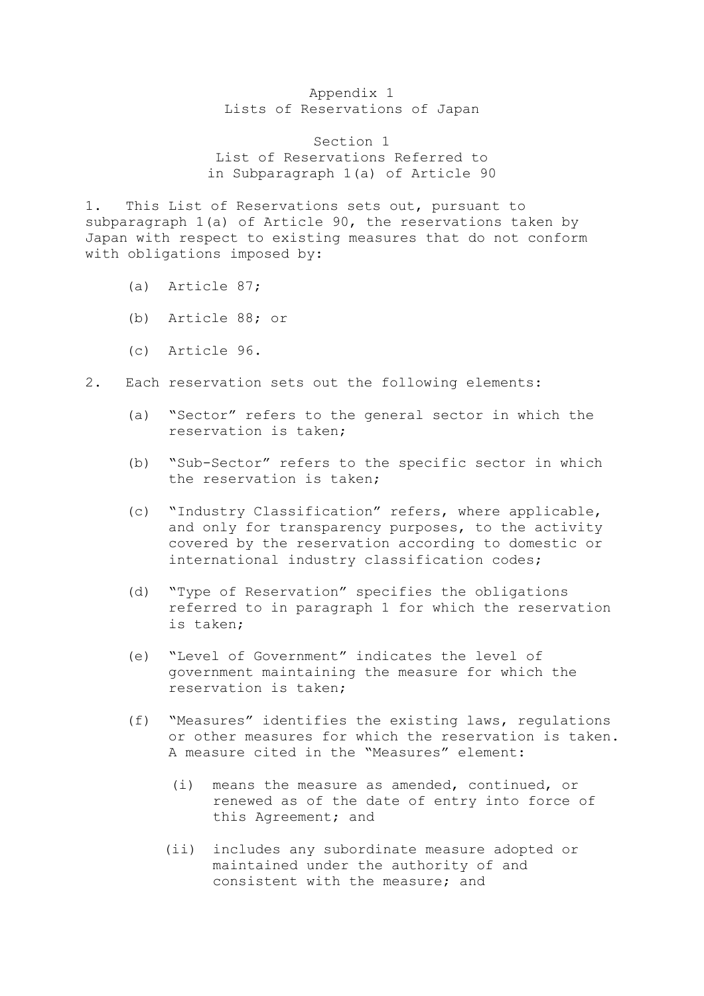## Appendix 1 Lists of Reservations of Japan

Section 1 List of Reservations Referred to in Subparagraph 1(a) of Article 90

1. This List of Reservations sets out, pursuant to subparagraph 1(a) of Article 90, the reservations taken by Japan with respect to existing measures that do not conform with obligations imposed by:

- (a) Article 87;
- (b) Article 88; or
- (c) Article 96.
- 2. Each reservation sets out the following elements:
	- (a) "Sector" refers to the general sector in which the reservation is taken;
	- (b) "Sub-Sector" refers to the specific sector in which the reservation is taken;
	- (c) "Industry Classification" refers, where applicable, and only for transparency purposes, to the activity covered by the reservation according to domestic or international industry classification codes;
	- (d) "Type of Reservation" specifies the obligations referred to in paragraph 1 for which the reservation is taken;
	- (e) "Level of Government" indicates the level of government maintaining the measure for which the reservation is taken;
	- (f) "Measures" identifies the existing laws, regulations or other measures for which the reservation is taken. A measure cited in the "Measures" element:
		- (i) means the measure as amended, continued, or renewed as of the date of entry into force of this Agreement; and
		- (ii) includes any subordinate measure adopted or maintained under the authority of and consistent with the measure; and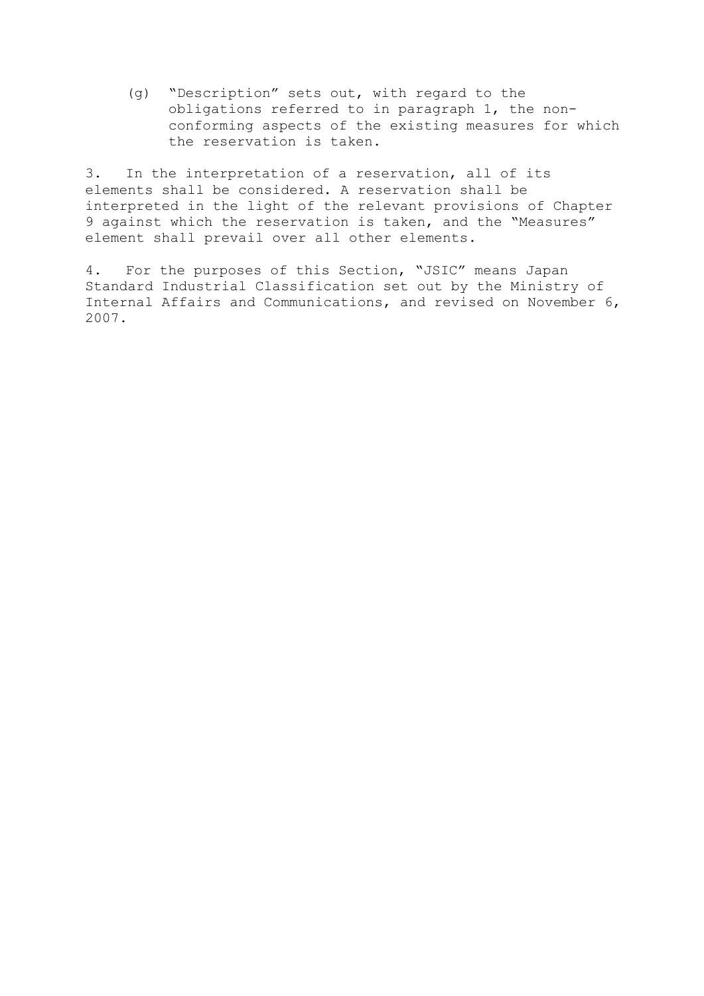(g) "Description" sets out, with regard to the obligations referred to in paragraph 1, the nonconforming aspects of the existing measures for which the reservation is taken.

3. In the interpretation of a reservation, all of its elements shall be considered. A reservation shall be interpreted in the light of the relevant provisions of Chapter 9 against which the reservation is taken, and the "Measures" element shall prevail over all other elements.

4. For the purposes of this Section, "JSIC" means Japan Standard Industrial Classification set out by the Ministry of Internal Affairs and Communications, and revised on November 6, 2007.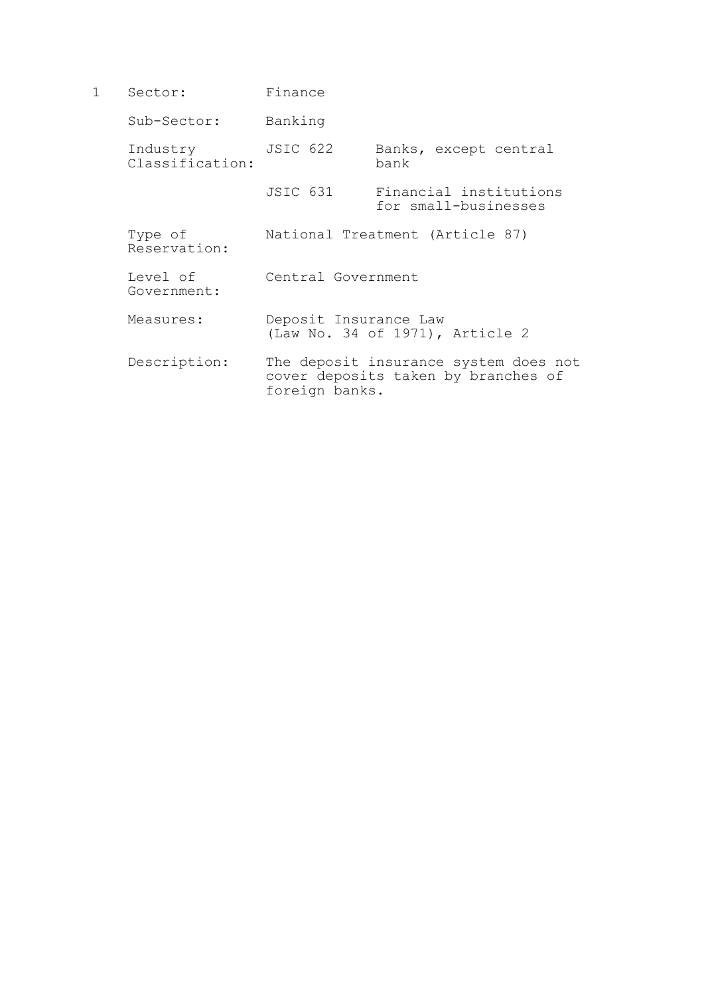1 Sector: Finance Sub-Sector: Banking Industry JSIC 622 Banks, except central<br>Classification: bank  $Classification:$  JSIC 631 Financial institutions for small-businesses Type of National Treatment (Article 87) Reservation: Level of Central Government Government: Measures: Deposit Insurance Law (Law No. 34 of 1971), Article 2 Description: The deposit insurance system does not cover deposits taken by branches of foreign banks.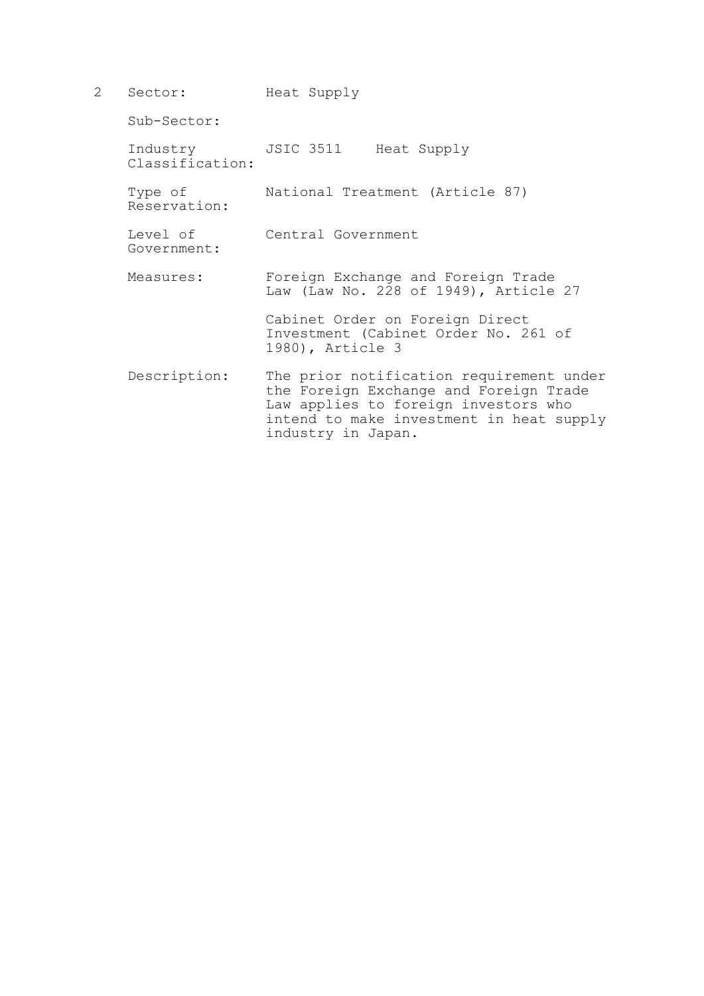2 Sector: Heat Supply Sub-Sector: Industry JSIC 3511 Heat Supply Classification: Type of National Treatment (Article 87) Reservation: Level of Central Government Government: Measures: Foreign Exchange and Foreign Trade Law (Law No. 228 of 1949), Article 27 Cabinet Order on Foreign Direct Investment (Cabinet Order No. 261 of 1980), Article 3 Description: The prior notification requirement under the Foreign Exchange and Foreign Trade Law applies to foreign investors who intend to make investment in heat supply industry in Japan.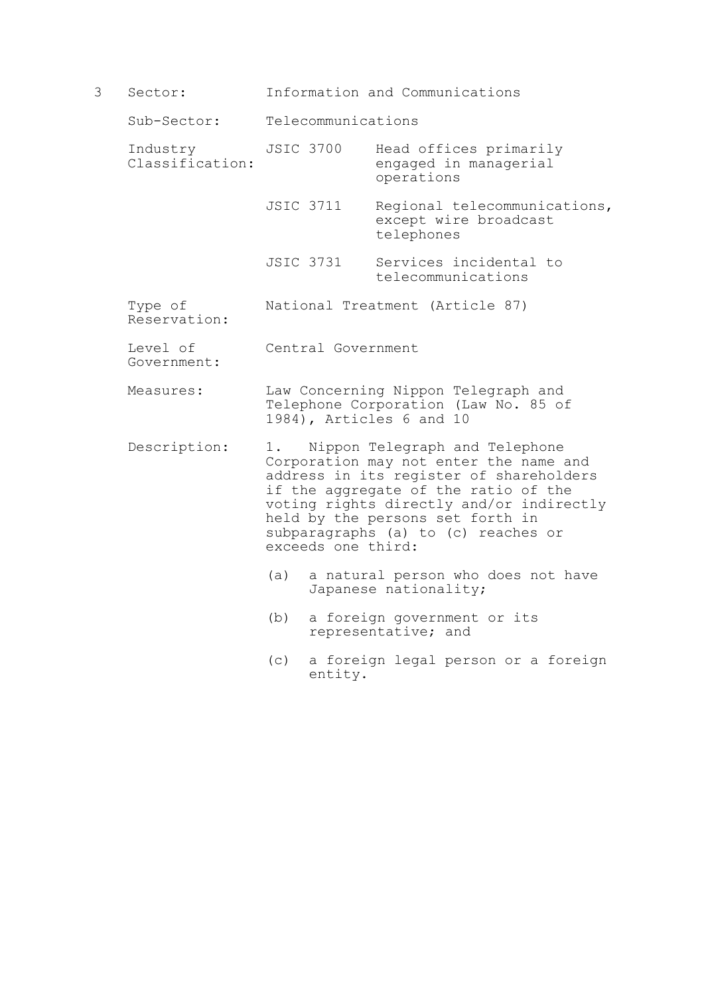3 Sector: Information and Communications

Sub-Sector: Telecommunications

- Industry JSIC 3700 Head offices primarily<br>Classification: engaged in managerial engaged in managerial operations
	- JSIC 3711 Regional telecommunications, except wire broadcast telephones
	- JSIC 3731 Services incidental to telecommunications
- Type of National Treatment (Article 87) Reservation:
- Level of Central Government Government:
- Measures: Law Concerning Nippon Telegraph and Telephone Corporation (Law No. 85 of 1984), Articles 6 and 10
- Description: 1. Nippon Telegraph and Telephone Corporation may not enter the name and address in its register of shareholders if the aggregate of the ratio of the voting rights directly and/or indirectly held by the persons set forth in subparagraphs (a) to (c) reaches or exceeds one third:
	- (a) a natural person who does not have Japanese nationality;
	- (b) a foreign government or its representative; and
	- (c) a foreign legal person or a foreign entity.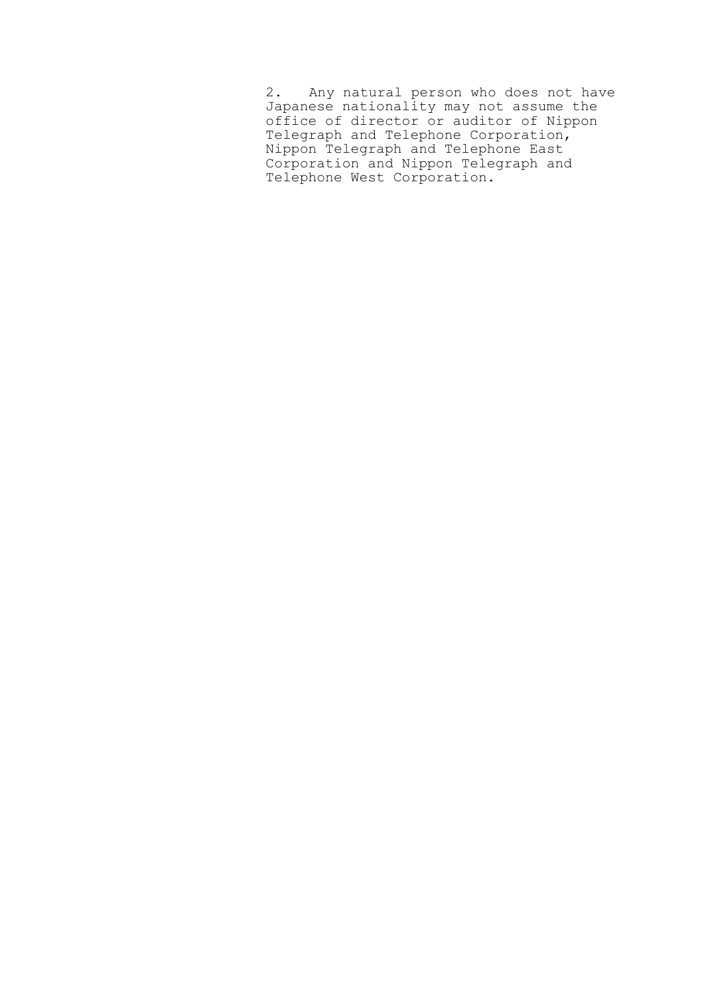2. Any natural person who does not have Japanese nationality may not assume the office of director or auditor of Nippon Telegraph and Telephone Corporation, Nippon Telegraph and Telephone East Corporation and Nippon Telegraph and Telephone West Corporation.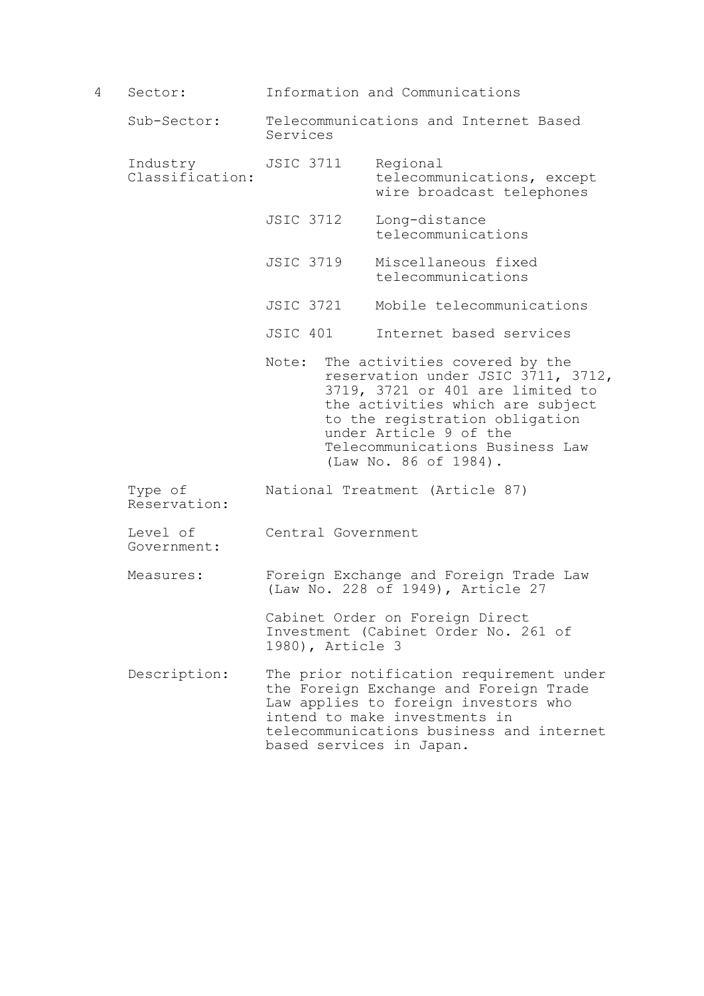4 Sector: Information and Communications Sub-Sector: Telecommunications and Internet Based Services Industry JSIC 3711 Regional<br>Classification: telecomm telecommunications, except wire broadcast telephones JSIC 3712 Long-distance telecommunications JSIC 3719 Miscellaneous fixed telecommunications JSIC 3721 Mobile telecommunications JSIC 401 Internet based services Note: The activities covered by the reservation under JSIC 3711, 3712, 3719, 3721 or 401 are limited to the activities which are subject to the registration obligation under Article 9 of the Telecommunications Business Law (Law No. 86 of 1984). Type of National Treatment (Article 87) Reservation: Level of Central Government Government: Measures: Foreign Exchange and Foreign Trade Law (Law No. 228 of 1949), Article 27 Cabinet Order on Foreign Direct Investment (Cabinet Order No. 261 of 1980), Article 3 Description: The prior notification requirement under the Foreign Exchange and Foreign Trade Law applies to foreign investors who intend to make investments in telecommunications business and internet based services in Japan.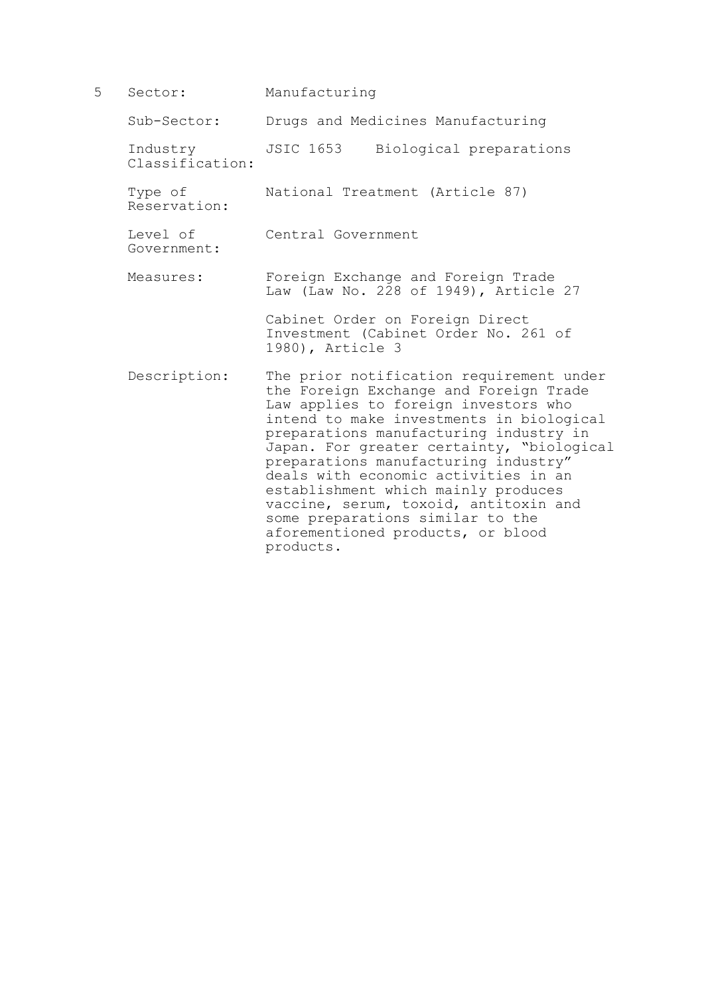5 Sector: Manufacturing Sub-Sector: Drugs and Medicines Manufacturing Industry JSIC 1653 Biological preparations Classification: Type of National Treatment (Article 87) Reservation: Level of Central Government Government: Measures: Foreign Exchange and Foreign Trade Law (Law No. 228 of 1949), Article 27 Cabinet Order on Foreign Direct Investment (Cabinet Order No. 261 of 1980), Article 3 Description: The prior notification requirement under the Foreign Exchange and Foreign Trade Law applies to foreign investors who intend to make investments in biological preparations manufacturing industry in Japan. For greater certainty, "biological preparations manufacturing industry" deals with economic activities in an establishment which mainly produces vaccine, serum, toxoid, antitoxin and some preparations similar to the aforementioned products, or blood

products.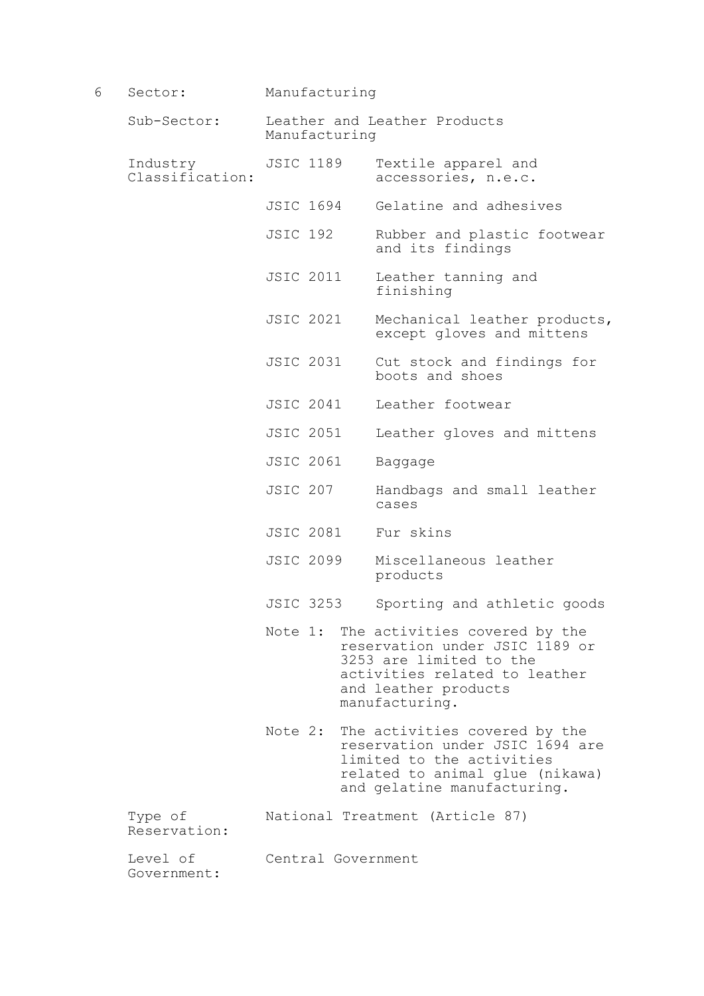| 6 | Sector:                     |                                               | Manufacturing                                                                                                                                                                 |  |
|---|-----------------------------|-----------------------------------------------|-------------------------------------------------------------------------------------------------------------------------------------------------------------------------------|--|
|   | Sub-Sector:                 | Leather and Leather Products<br>Manufacturing |                                                                                                                                                                               |  |
|   | Industry<br>Classification: | <b>JSIC 1189</b>                              | Textile apparel and<br>accessories, n.e.c.                                                                                                                                    |  |
|   |                             | JSIC 1694                                     | Gelatine and adhesives                                                                                                                                                        |  |
|   |                             | <b>JSIC 192</b>                               | Rubber and plastic footwear<br>and its findings                                                                                                                               |  |
|   |                             | <b>JSIC 2011</b>                              | Leather tanning and<br>finishing                                                                                                                                              |  |
|   |                             | <b>JSIC 2021</b>                              | Mechanical leather products,<br>except gloves and mittens                                                                                                                     |  |
|   |                             | <b>JSIC 2031</b>                              | Cut stock and findings for<br>boots and shoes                                                                                                                                 |  |
|   |                             | <b>JSIC 2041</b>                              | Leather footwear                                                                                                                                                              |  |
|   |                             | <b>JSIC 2051</b>                              | Leather gloves and mittens                                                                                                                                                    |  |
|   |                             | <b>JSIC 2061</b>                              | Baggage                                                                                                                                                                       |  |
|   |                             | <b>JSIC 207</b>                               | Handbags and small leather<br>cases                                                                                                                                           |  |
|   |                             | <b>JSIC 2081</b>                              | Fur skins                                                                                                                                                                     |  |
|   |                             | <b>JSIC 2099</b>                              | Miscellaneous leather<br>products                                                                                                                                             |  |
|   |                             | <b>JSIC 3253</b>                              | Sporting and athletic goods                                                                                                                                                   |  |
|   |                             |                                               | Note 1: The activities covered by the<br>reservation under JSIC 1189 or<br>3253 are limited to the<br>activities related to leather<br>and leather products<br>manufacturing. |  |
|   |                             |                                               | Note 2: The activities covered by the<br>reservation under JSIC 1694 are<br>limited to the activities<br>related to animal glue (nikawa)<br>and gelatine manufacturing.       |  |
|   | Type of<br>Reservation:     |                                               | National Treatment (Article 87)                                                                                                                                               |  |
|   | Level of<br>Government:     | Central Government                            |                                                                                                                                                                               |  |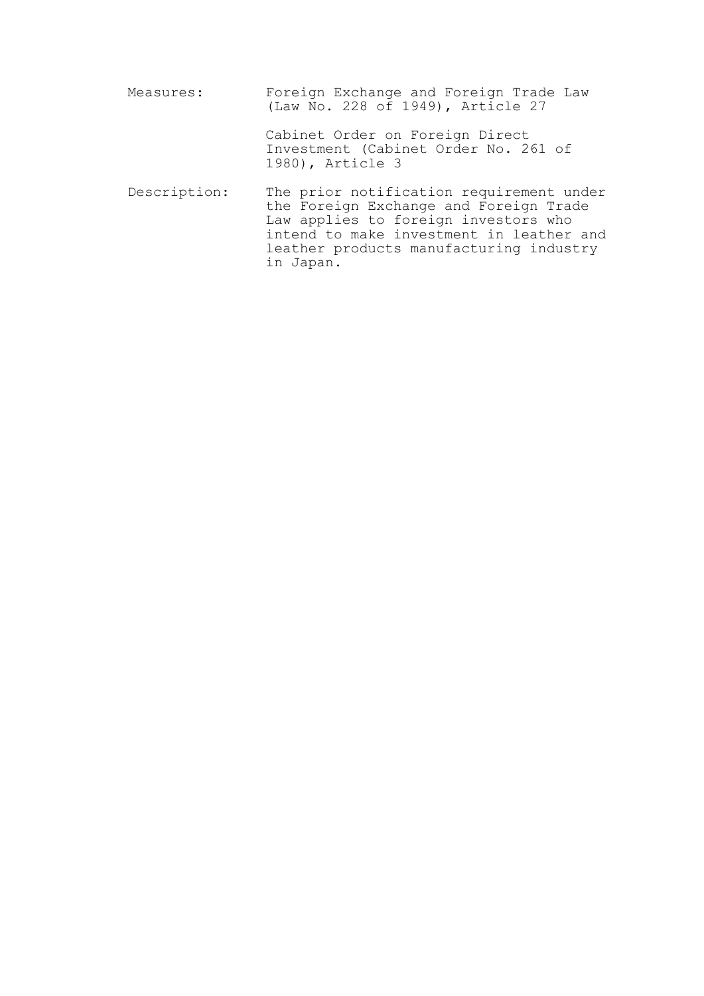| Measures:    | Foreign Exchange and Foreign Trade Law<br>(Law No. 228 of 1949), Article 27                                                                                                                                                    |
|--------------|--------------------------------------------------------------------------------------------------------------------------------------------------------------------------------------------------------------------------------|
|              | Cabinet Order on Foreign Direct<br>Investment (Cabinet Order No. 261 of<br>1980), Article 3                                                                                                                                    |
| Description: | The prior notification requirement under<br>the Foreign Exchange and Foreign Trade<br>Law applies to foreign investors who<br>intend to make investment in leather and<br>leather products manufacturing industry<br>in Japan. |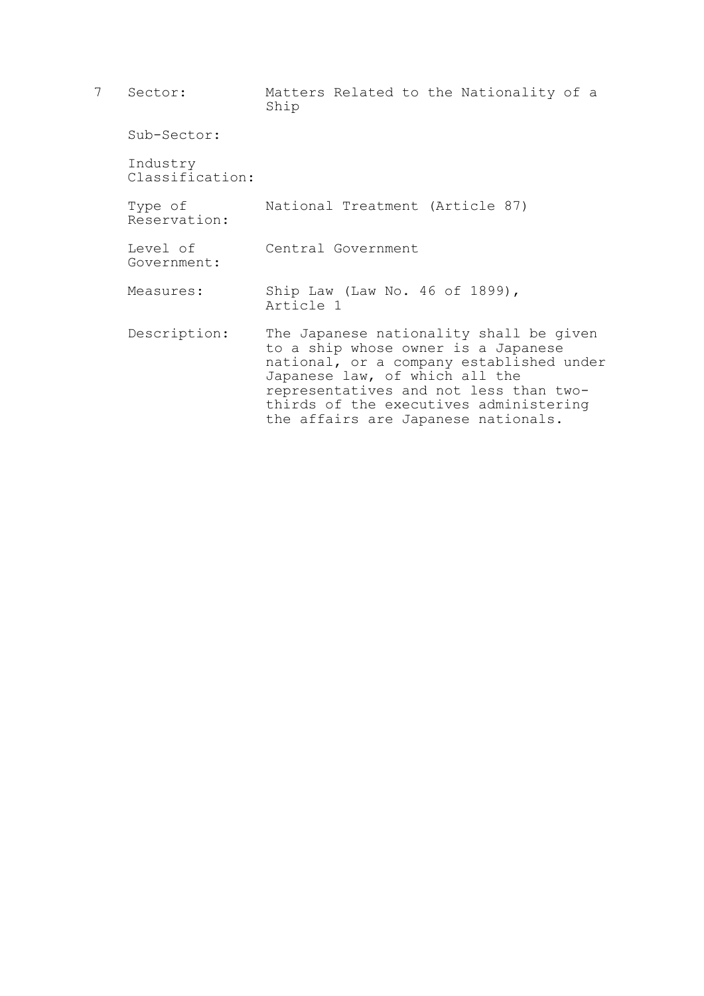| 7 | Sector:                     | Matters Related to the Nationality of a<br>Ship                                                                                                                                                                                                                                         |
|---|-----------------------------|-----------------------------------------------------------------------------------------------------------------------------------------------------------------------------------------------------------------------------------------------------------------------------------------|
|   | Sub-Sector:                 |                                                                                                                                                                                                                                                                                         |
|   | Industry<br>Classification: |                                                                                                                                                                                                                                                                                         |
|   | Type of<br>Reservation:     | National Treatment (Article 87)                                                                                                                                                                                                                                                         |
|   | Level of<br>Government:     | Central Government                                                                                                                                                                                                                                                                      |
|   | Measures:                   | Ship Law (Law No. 46 of 1899),<br>Article 1                                                                                                                                                                                                                                             |
|   | Description:                | The Japanese nationality shall be given<br>to a ship whose owner is a Japanese<br>national, or a company established under<br>Japanese law, of which all the<br>representatives and not less than two-<br>thirds of the executives administering<br>the affairs are Japanese nationals. |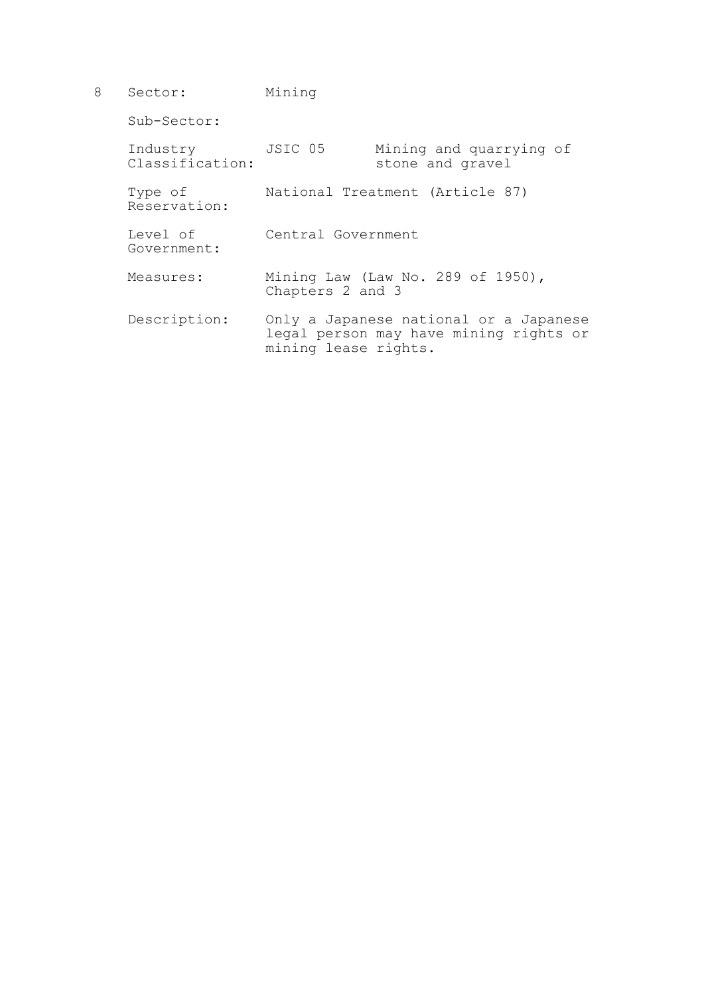8 Sector: Mining

Sub-Sector:

| Industry<br>Classification: | JSIC 05              | Mining and quarrying of<br>stone and gravel                                      |
|-----------------------------|----------------------|----------------------------------------------------------------------------------|
| Type of<br>Reservation:     |                      | National Treatment (Article 87)                                                  |
| Level of<br>Government:     | Central Government   |                                                                                  |
| Measures:                   | Chapters 2 and 3     | Mining Law (Law No. 289 of 1950),                                                |
| Description:                | mining lease rights. | Only a Japanese national or a Japanese<br>legal person may have mining rights or |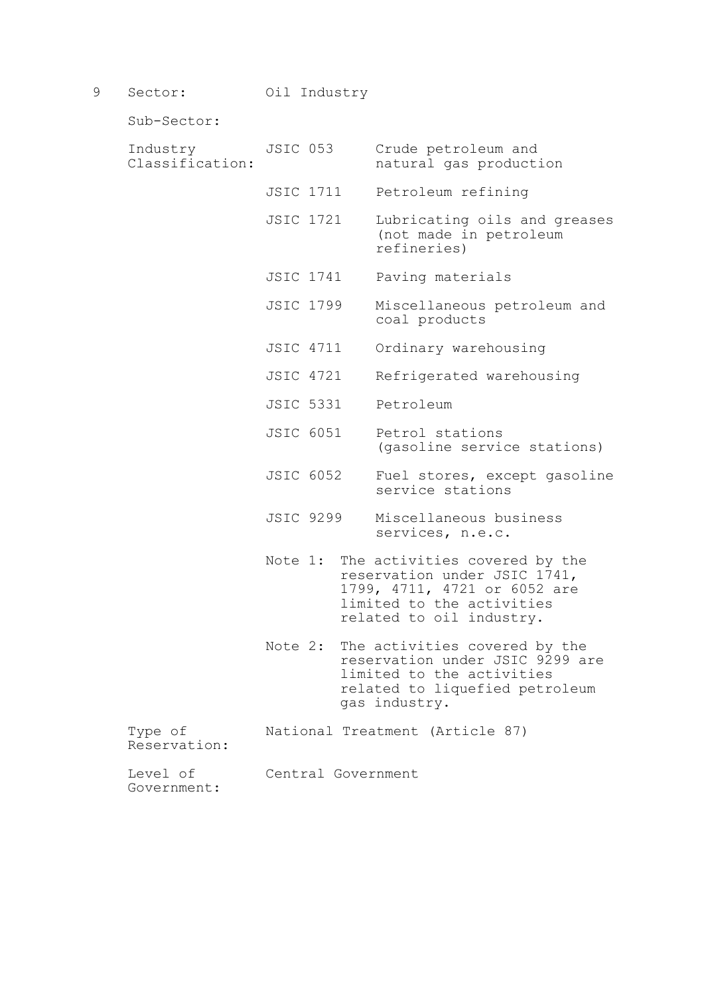9 Sector: Oil Industry

Sub-Sector:

| Industry<br>Classification: | JSIC 053           | Crude petroleum and<br>natural gas production                                                                                                                  |
|-----------------------------|--------------------|----------------------------------------------------------------------------------------------------------------------------------------------------------------|
|                             | JSIC 1711          | Petroleum refining                                                                                                                                             |
|                             | <b>JSIC 1721</b>   | Lubricating oils and greases<br>(not made in petroleum<br>refineries)                                                                                          |
|                             | JSIC 1741          | Paving materials                                                                                                                                               |
|                             | <b>JSIC 1799</b>   | Miscellaneous petroleum and<br>coal products                                                                                                                   |
|                             | JSIC 4711          | Ordinary warehousing                                                                                                                                           |
|                             | JSIC 4721          | Refrigerated warehousing                                                                                                                                       |
|                             | <b>JSIC 5331</b>   | Petroleum                                                                                                                                                      |
|                             | <b>JSIC 6051</b>   | Petrol stations<br>(gasoline service stations)                                                                                                                 |
|                             | <b>JSIC 6052</b>   | Fuel stores, except gasoline<br>service stations                                                                                                               |
|                             | <b>JSIC 9299</b>   | Miscellaneous business<br>services, n.e.c.                                                                                                                     |
|                             |                    | Note 1: The activities covered by the<br>reservation under JSIC 1741,<br>1799, 4711, 4721 or 6052 are<br>limited to the activities<br>related to oil industry. |
|                             | Note 2:            | The activities covered by the<br>reservation under JSIC 9299 are<br>limited to the activities<br>related to liquefied petroleum<br>gas industry.               |
| Type of<br>Reservation:     |                    | National Treatment (Article 87)                                                                                                                                |
| Level of<br>Government:     | Central Government |                                                                                                                                                                |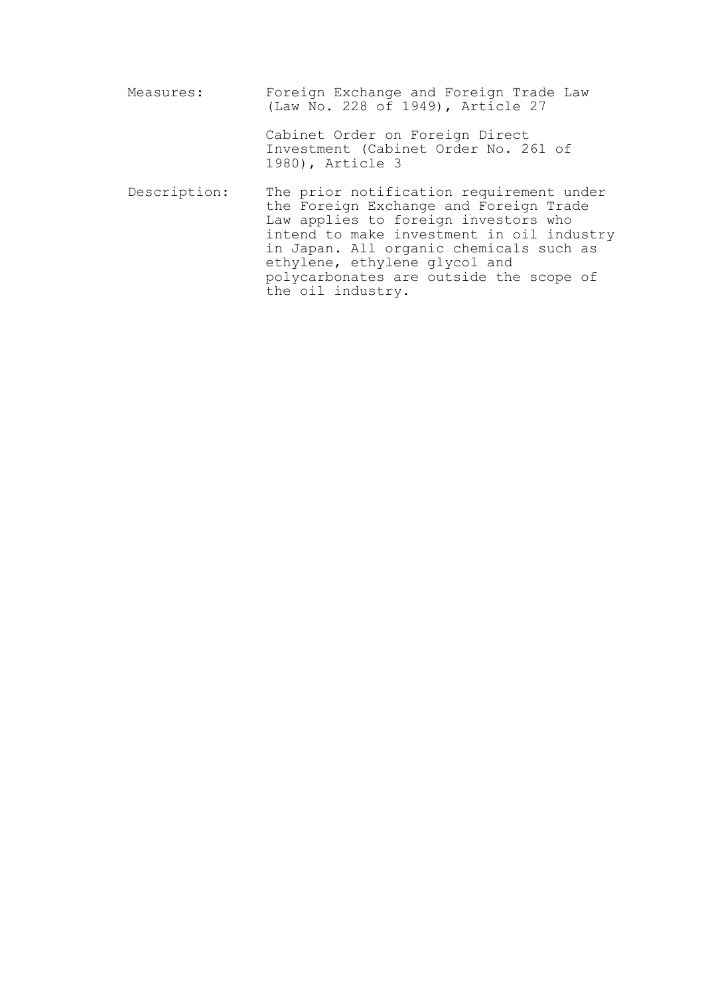Measures: Foreign Exchange and Foreign Trade Law (Law No. 228 of 1949), Article 27 Cabinet Order on Foreign Direct Investment (Cabinet Order No. 261 of 1980), Article 3 Description: The prior notification requirement under the Foreign Exchange and Foreign Trade Law applies to foreign investors who intend to make investment in oil industry in Japan. All organic chemicals such as ethylene, ethylene glycol and polycarbonates are outside the scope of the oil industry.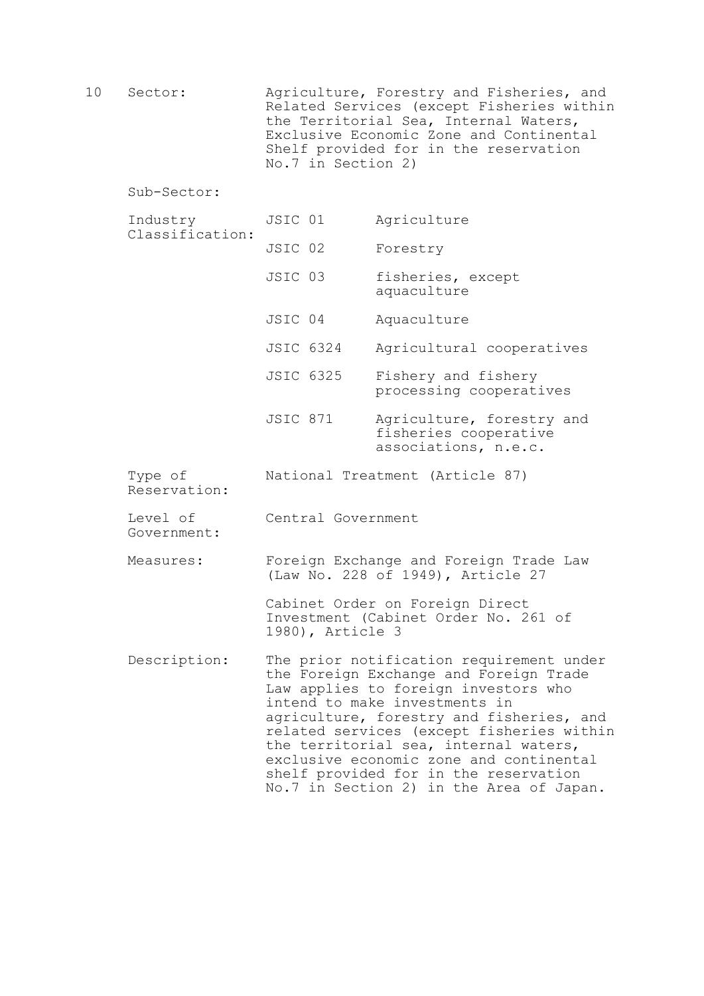10 Sector: Agriculture, Forestry and Fisheries, and Related Services (except Fisheries within the Territorial Sea, Internal Waters, Exclusive Economic Zone and Continental Shelf provided for in the reservation No.7 in Section 2)

Sub-Sector:

- Industry JSIC 01 Agriculture Classification: JSIC 02 Forestry JSIC 03 fisheries, except aquaculture JSIC 04 Aquaculture JSIC 6324 Agricultural cooperatives JSIC 6325 Fishery and fishery processing cooperatives JSIC 871 Agriculture, forestry and fisheries cooperative associations, n.e.c. Type of National Treatment (Article 87) Reservation: Level of Central Government Government: Measures: Foreign Exchange and Foreign Trade Law (Law No. 228 of 1949), Article 27 Cabinet Order on Foreign Direct Investment (Cabinet Order No. 261 of 1980), Article 3 Description: The prior notification requirement under the Foreign Exchange and Foreign Trade Law applies to foreign investors who
	- intend to make investments in agriculture, forestry and fisheries, and related services (except fisheries within the territorial sea, internal waters, exclusive economic zone and continental shelf provided for in the reservation No.7 in Section 2) in the Area of Japan.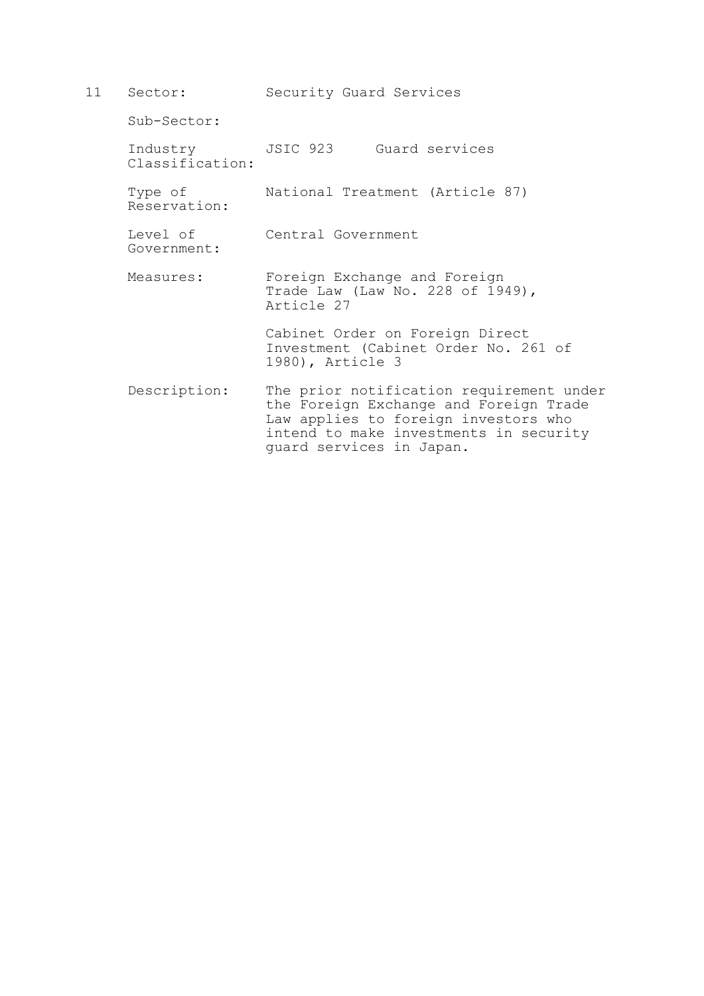| 11 | Sector:                     | Security Guard Services                                                                                                                                                                          |
|----|-----------------------------|--------------------------------------------------------------------------------------------------------------------------------------------------------------------------------------------------|
|    | Sub-Sector:                 |                                                                                                                                                                                                  |
|    | Industry<br>Classification: | JSIC 923 Guard services                                                                                                                                                                          |
|    | Type of<br>Reservation:     | National Treatment (Article 87)                                                                                                                                                                  |
|    | Level of<br>Government:     | Central Government                                                                                                                                                                               |
|    | Measures:                   | Foreign Exchange and Foreign<br>Trade Law (Law No. 228 of 1949),<br>Article 27                                                                                                                   |
|    |                             | Cabinet Order on Foreign Direct<br>Investment (Cabinet Order No. 261 of<br>1980), Article 3                                                                                                      |
|    | Description:                | The prior notification requirement under<br>the Foreign Exchange and Foreign Trade<br>Law applies to foreign investors who<br>intend to make investments in security<br>quard services in Japan. |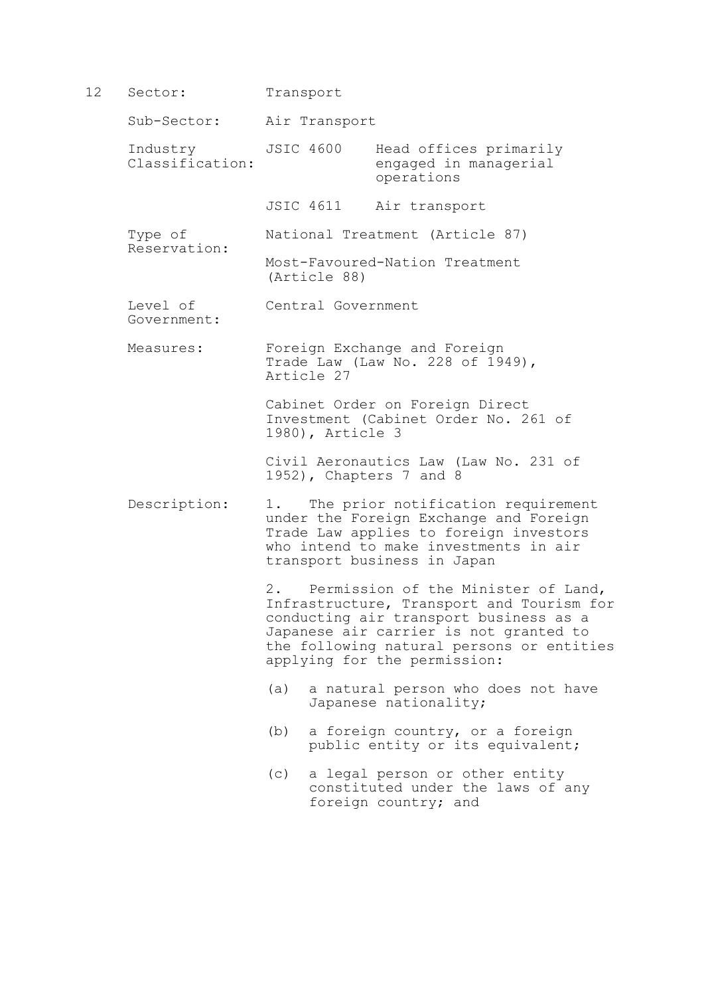12 Sector: Transport

Reservation:

Sub-Sector: Air Transport

Industry JSIC 4600 Head offices primarily<br>Classification: engaged in managerial engaged in managerial operations

JSIC 4611 Air transport

Type of National Treatment (Article 87)

 Most-Favoured-Nation Treatment (Article 88)

Level of Central Government Government:

 Measures: Foreign Exchange and Foreign Trade Law (Law No. 228 of 1949), Article 27

> Cabinet Order on Foreign Direct Investment (Cabinet Order No. 261 of 1980), Article 3

Civil Aeronautics Law (Law No. 231 of 1952), Chapters 7 and 8

 Description: 1. The prior notification requirement under the Foreign Exchange and Foreign Trade Law applies to foreign investors who intend to make investments in air transport business in Japan

> 2. Permission of the Minister of Land, Infrastructure, Transport and Tourism for conducting air transport business as a Japanese air carrier is not granted to the following natural persons or entities applying for the permission:

- (a) a natural person who does not have Japanese nationality;
- (b) a foreign country, or a foreign public entity or its equivalent;
- (c) a legal person or other entity constituted under the laws of any foreign country; and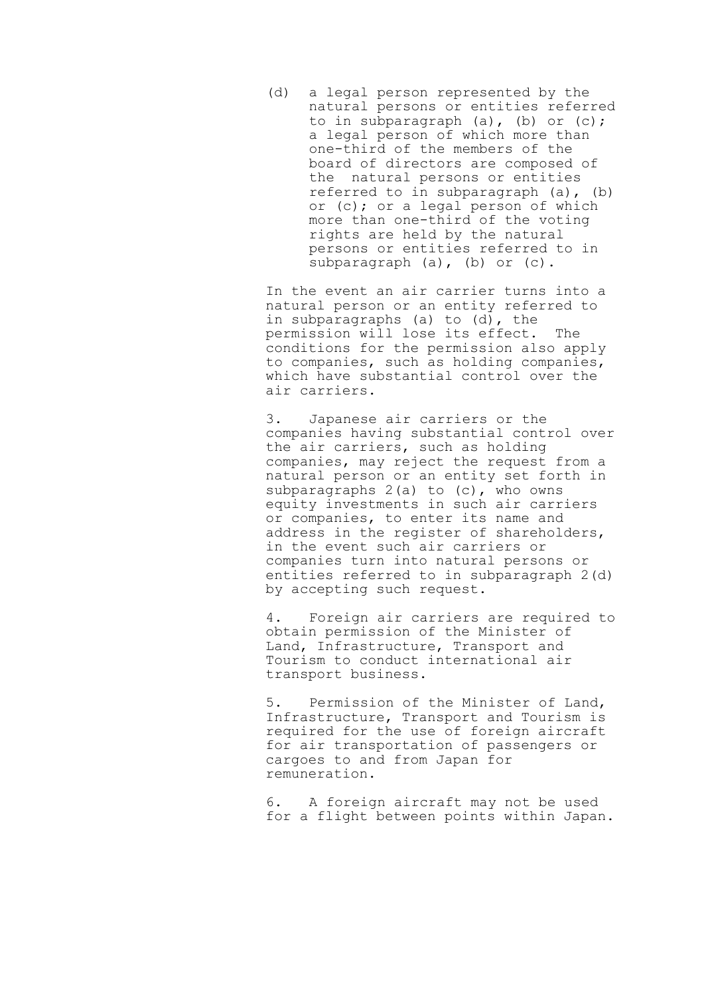(d) a legal person represented by the natural persons or entities referred to in subparagraph (a), (b) or (c); a legal person of which more than one-third of the members of the board of directors are composed of the natural persons or entities referred to in subparagraph (a), (b) or (c); or a legal person of which more than one-third of the voting rights are held by the natural persons or entities referred to in subparagraph (a), (b) or (c).

 In the event an air carrier turns into a natural person or an entity referred to in subparagraphs (a) to (d), the permission will lose its effect. The conditions for the permission also apply to companies, such as holding companies, which have substantial control over the air carriers.

 3. Japanese air carriers or the companies having substantial control over the air carriers, such as holding companies, may reject the request from a natural person or an entity set forth in subparagraphs  $2(a)$  to  $(c)$ , who owns equity investments in such air carriers or companies, to enter its name and address in the register of shareholders, in the event such air carriers or companies turn into natural persons or entities referred to in subparagraph 2(d) by accepting such request.

 4. Foreign air carriers are required to obtain permission of the Minister of Land, Infrastructure, Transport and Tourism to conduct international air transport business.

 5. Permission of the Minister of Land, Infrastructure, Transport and Tourism is required for the use of foreign aircraft for air transportation of passengers or cargoes to and from Japan for remuneration.

 6. A foreign aircraft may not be used for a flight between points within Japan.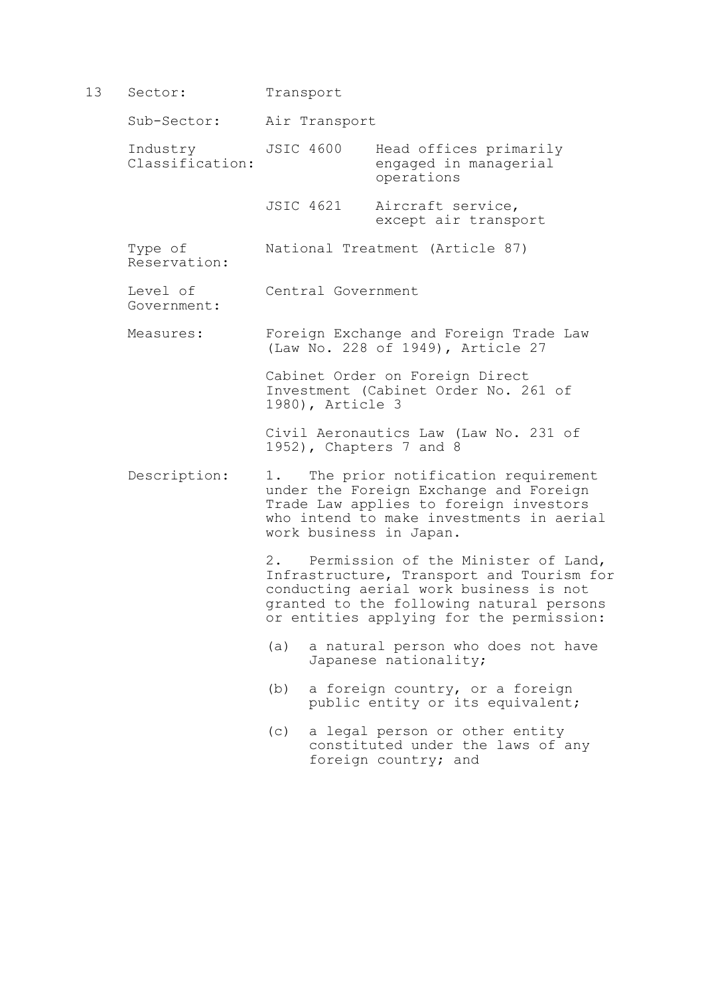13 Sector: Transport

Government:

Sub-Sector: Air Transport

Industry JSIC 4600 Head offices primarily<br>Classification: engaged in managerial engaged in managerial operations

> JSIC 4621 Aircraft service, except air transport

 Type of National Treatment (Article 87) Reservation:

Level of Central Government

Measures: Foreign Exchange and Foreign Trade Law

 Cabinet Order on Foreign Direct Investment (Cabinet Order No. 261 of 1980), Article 3

(Law No. 228 of 1949), Article 27

 Civil Aeronautics Law (Law No. 231 of 1952), Chapters 7 and 8

Description: 1. The prior notification requirement under the Foreign Exchange and Foreign Trade Law applies to foreign investors who intend to make investments in aerial work business in Japan.

> 2. Permission of the Minister of Land, Infrastructure, Transport and Tourism for conducting aerial work business is not granted to the following natural persons or entities applying for the permission:

- (a) a natural person who does not have Japanese nationality;
- (b) a foreign country, or a foreign public entity or its equivalent;
- (c) a legal person or other entity constituted under the laws of any foreign country; and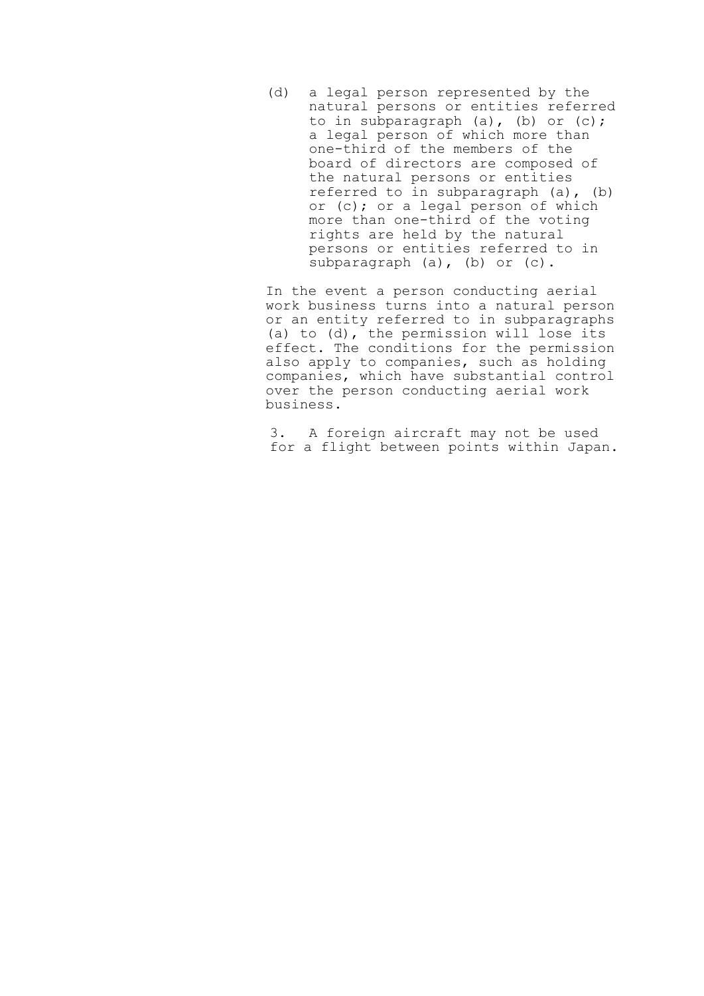(d) a legal person represented by the natural persons or entities referred to in subparagraph (a), (b) or (c); a legal person of which more than one-third of the members of the board of directors are composed of the natural persons or entities referred to in subparagraph (a), (b) or (c); or a legal person of which more than one-third of the voting rights are held by the natural persons or entities referred to in subparagraph (a), (b) or (c).

 In the event a person conducting aerial work business turns into a natural person or an entity referred to in subparagraphs (a) to (d), the permission will lose its effect. The conditions for the permission also apply to companies, such as holding companies, which have substantial control over the person conducting aerial work business.

 3. A foreign aircraft may not be used for a flight between points within Japan.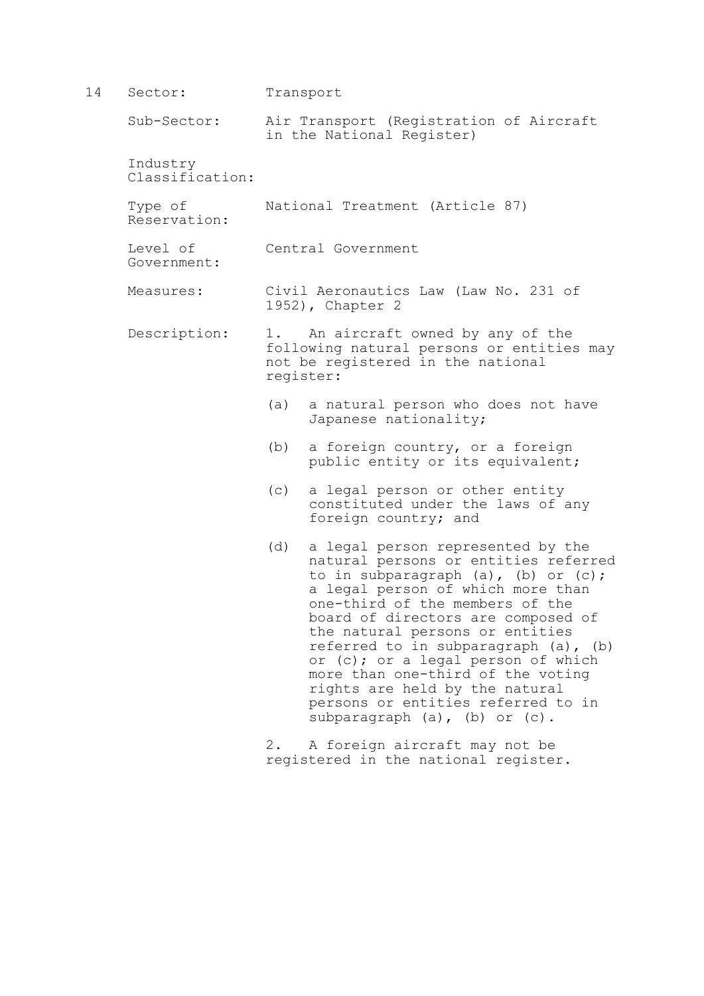| 14 | Sector:                     |                                                           | Transport                                                                                                                                                                                                                                                                                                                                                                                                                                                                                     |  |
|----|-----------------------------|-----------------------------------------------------------|-----------------------------------------------------------------------------------------------------------------------------------------------------------------------------------------------------------------------------------------------------------------------------------------------------------------------------------------------------------------------------------------------------------------------------------------------------------------------------------------------|--|
|    | Sub-Sector:                 |                                                           | Air Transport (Registration of Aircraft<br>in the National Register)                                                                                                                                                                                                                                                                                                                                                                                                                          |  |
|    | Industry<br>Classification: |                                                           |                                                                                                                                                                                                                                                                                                                                                                                                                                                                                               |  |
|    | Type of<br>Reservation:     |                                                           | National Treatment (Article 87)                                                                                                                                                                                                                                                                                                                                                                                                                                                               |  |
|    | Level of<br>Government:     |                                                           | Central Government                                                                                                                                                                                                                                                                                                                                                                                                                                                                            |  |
|    | Measures:                   | Civil Aeronautics Law (Law No. 231 of<br>1952), Chapter 2 |                                                                                                                                                                                                                                                                                                                                                                                                                                                                                               |  |
|    | Description:                |                                                           | An aircraft owned by any of the<br>following natural persons or entities may<br>not be registered in the national<br>register:                                                                                                                                                                                                                                                                                                                                                                |  |
|    |                             | (a)                                                       | a natural person who does not have<br>Japanese nationality;                                                                                                                                                                                                                                                                                                                                                                                                                                   |  |
|    |                             | (b)                                                       | a foreign country, or a foreign<br>public entity or its equivalent;                                                                                                                                                                                                                                                                                                                                                                                                                           |  |
|    |                             | (C)                                                       | a legal person or other entity<br>constituted under the laws of any<br>foreign country; and                                                                                                                                                                                                                                                                                                                                                                                                   |  |
|    |                             | (d)                                                       | a legal person represented by the<br>natural persons or entities referred<br>to in subparagraph (a), (b) or (c);<br>a legal person of which more than<br>one-third of the members of the<br>board of directors are composed of<br>the natural persons or entities<br>referred to in subparagraph (a), (b)<br>or (c); or a legal person of which<br>more than one-third of the voting<br>rights are held by the natural<br>persons or entities referred to in<br>subparagraph (a), (b) or (c). |  |
|    |                             | $2$ .                                                     | A foreign aircraft may not be                                                                                                                                                                                                                                                                                                                                                                                                                                                                 |  |

registered in the national register.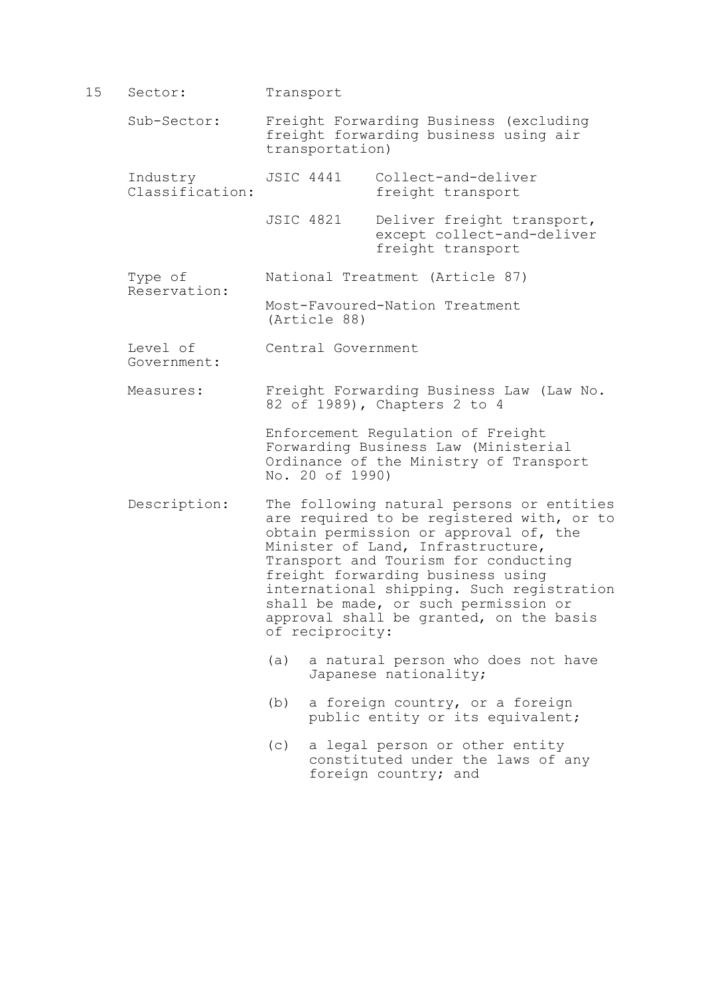15 Sector: Transport Sub-Sector: Freight Forwarding Business (excluding freight forwarding business using air transportation) Industry JSIC 4441 Collect-and-deliver<br>Classification: freight transport freight transport JSIC 4821 Deliver freight transport, except collect-and-deliver freight transport

 Type of National Treatment (Article 87) Reservation:

 Most-Favoured-Nation Treatment (Article 88)

Level of Central Government Government:

 Measures: Freight Forwarding Business Law (Law No. 82 of 1989), Chapters 2 to 4

> Enforcement Regulation of Freight Forwarding Business Law (Ministerial Ordinance of the Ministry of Transport No. 20 of 1990)

- Description: The following natural persons or entities are required to be registered with, or to obtain permission or approval of, the Minister of Land, Infrastructure, Transport and Tourism for conducting freight forwarding business using international shipping. Such registration shall be made, or such permission or approval shall be granted, on the basis of reciprocity:
	- (a) a natural person who does not have Japanese nationality;
	- (b) a foreign country, or a foreign public entity or its equivalent;
	- (c) a legal person or other entity constituted under the laws of any foreign country; and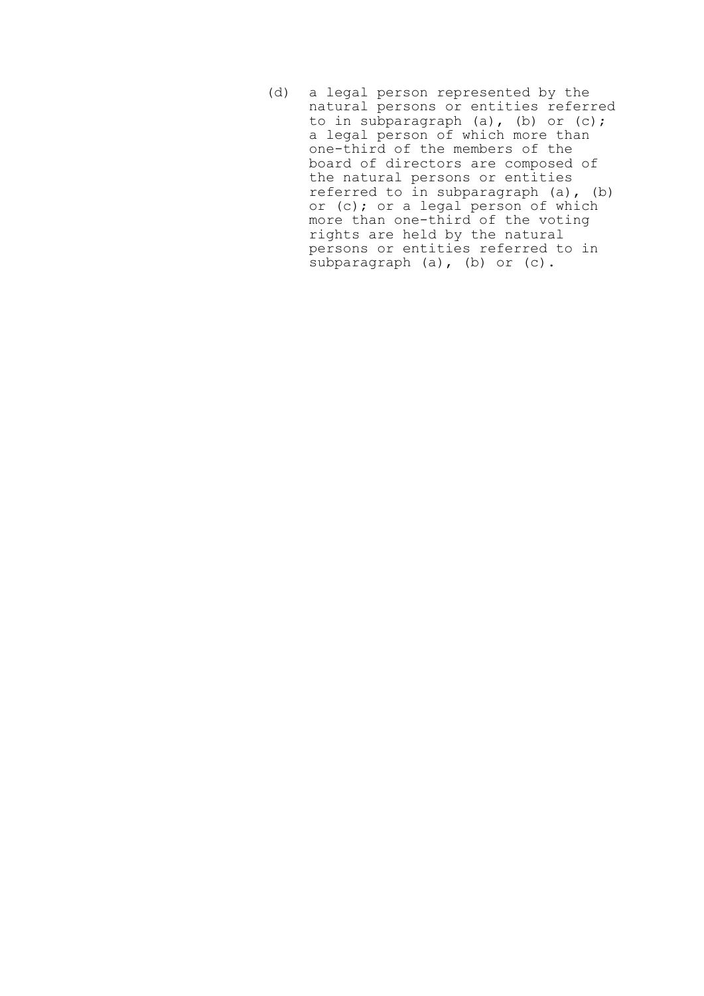(d) a legal person represented by the natural persons or entities referred to in subparagraph (a), (b) or (c); a legal person of which more than one-third of the members of the board of directors are composed of the natural persons or entities referred to in subparagraph (a), (b) or (c); or a legal person of which more than one-third of the voting rights are held by the natural persons or entities referred to in subparagraph (a), (b) or (c).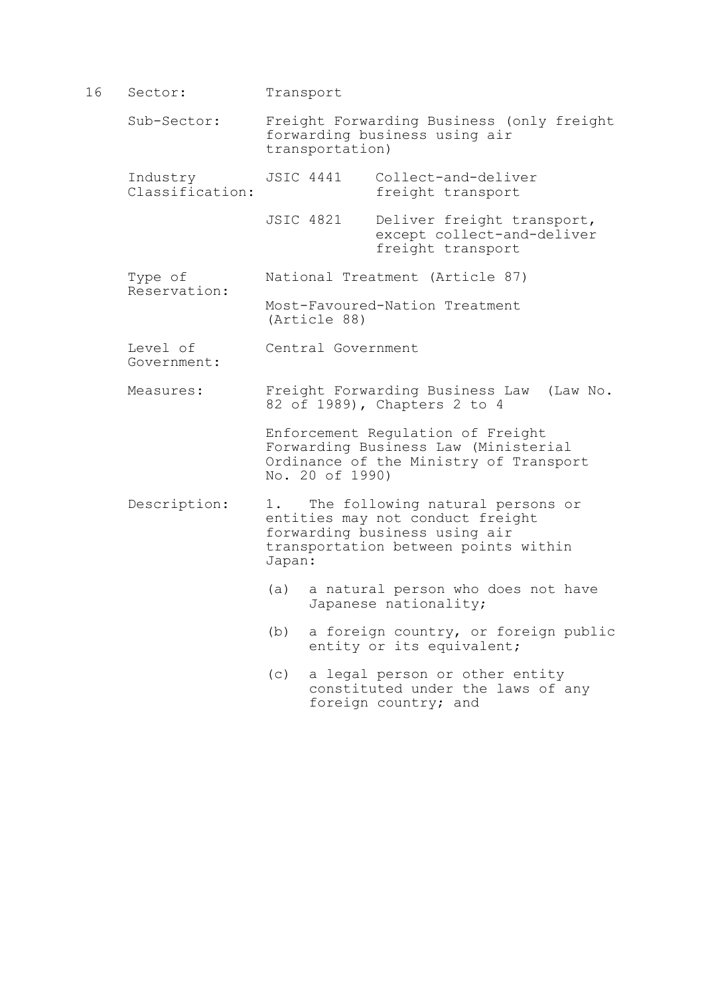- 16 Sector: Transport Sub-Sector: Freight Forwarding Business (only freight forwarding business using air transportation) Industry JSIC 4441 Collect-and-deliver<br>Classification: freight transport freight transport JSIC 4821 Deliver freight transport, except collect-and-deliver freight transport Type of National Treatment (Article 87) Reservation: Most-Favoured-Nation Treatment (Article 88) Level of Central Government Government: Measures: Freight Forwarding Business Law (Law No. 82 of 1989), Chapters 2 to 4 Enforcement Regulation of Freight Forwarding Business Law (Ministerial Ordinance of the Ministry of Transport No. 20 of 1990) Description: 1. The following natural persons or entities may not conduct freight forwarding business using air transportation between points within Japan: (a) a natural person who does not have Japanese nationality;
	- (b) a foreign country, or foreign public entity or its equivalent;
	- (c) a legal person or other entity constituted under the laws of any foreign country; and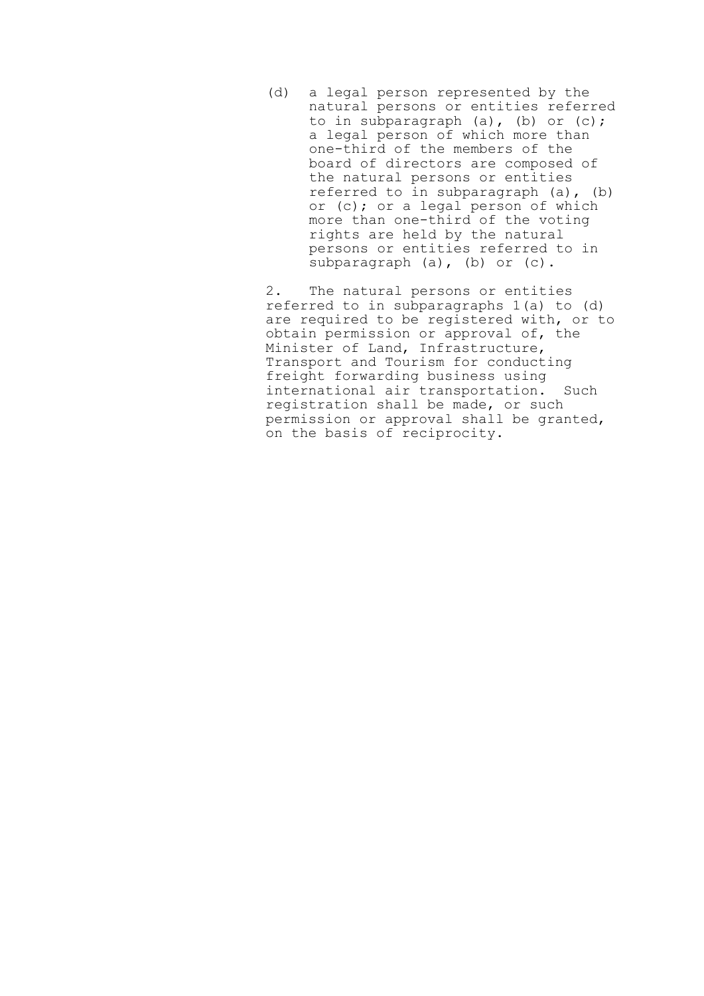(d) a legal person represented by the natural persons or entities referred to in subparagraph (a), (b) or (c); a legal person of which more than one-third of the members of the board of directors are composed of the natural persons or entities referred to in subparagraph (a), (b) or (c); or a legal person of which more than one-third of the voting rights are held by the natural persons or entities referred to in subparagraph (a), (b) or (c).

 2. The natural persons or entities referred to in subparagraphs 1(a) to (d) are required to be registered with, or to obtain permission or approval of, the Minister of Land, Infrastructure, Transport and Tourism for conducting freight forwarding business using international air transportation. Such registration shall be made, or such permission or approval shall be granted, on the basis of reciprocity.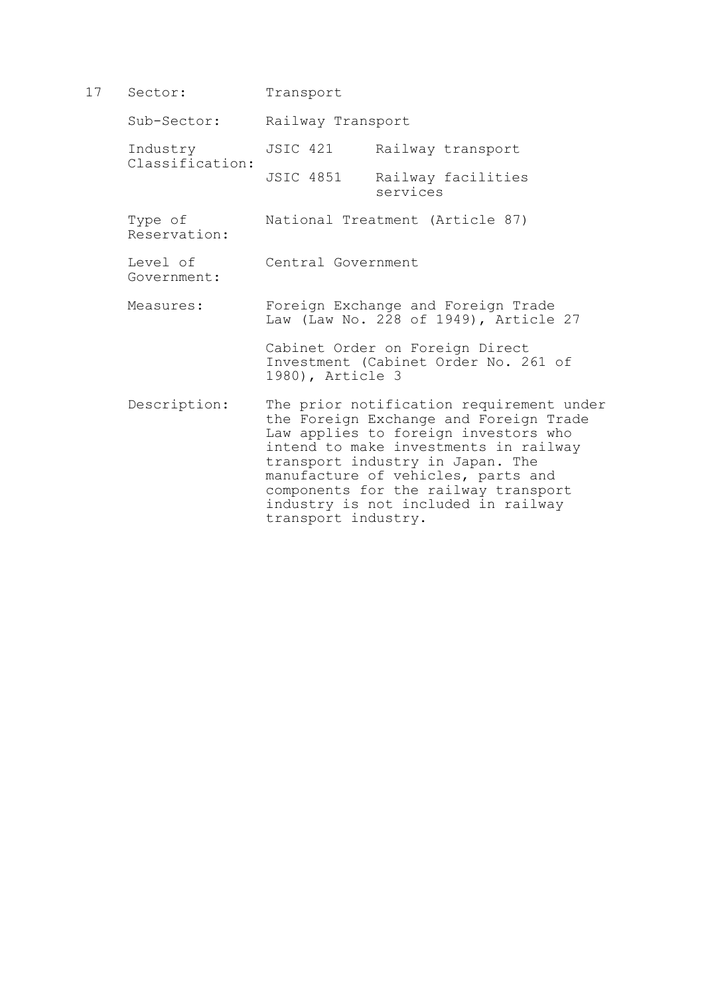17 Sector: Transport

Sub-Sector: Railway Transport

Industry JSIC 421 Railway transport

 Classification: Railway facilities services

Type of National Treatment (Article 87) Reservation:

Level of Central Government Government:

 Measures: Foreign Exchange and Foreign Trade Law (Law No. 228 of 1949), Article 27

> Cabinet Order on Foreign Direct Investment (Cabinet Order No. 261 of 1980), Article 3

 Description: The prior notification requirement under the Foreign Exchange and Foreign Trade Law applies to foreign investors who intend to make investments in railway transport industry in Japan. The manufacture of vehicles, parts and components for the railway transport industry is not included in railway transport industry.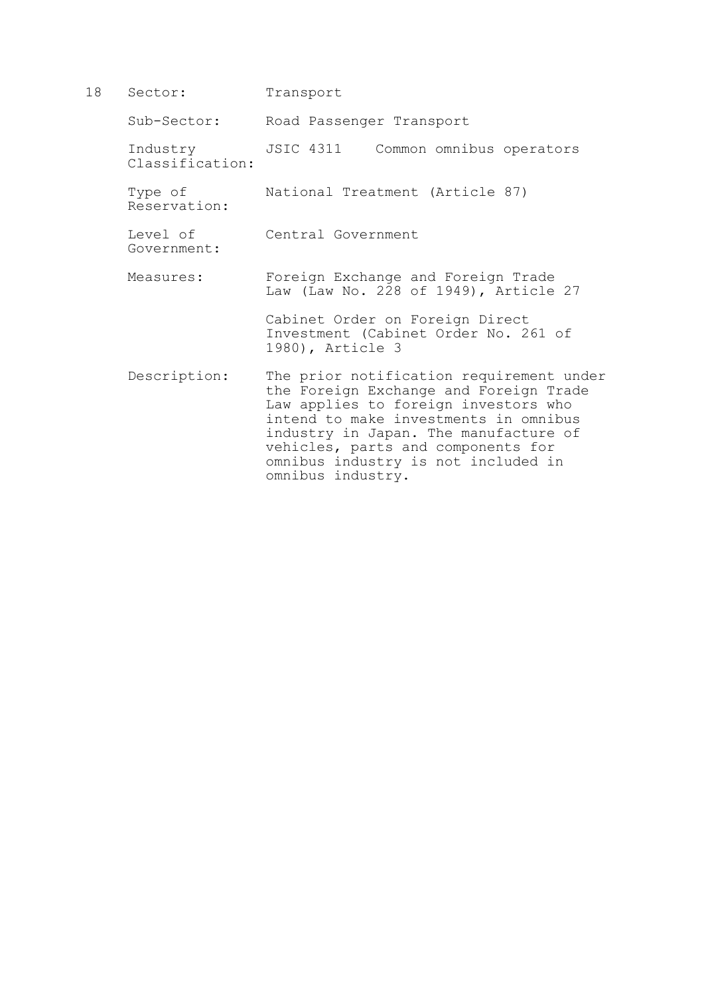18 Sector: Transport

Government:

Sub-Sector: Road Passenger Transport

 Industry JSIC 4311 Common omnibus operators Classification:

 Type of National Treatment (Article 87) Reservation:

Level of Central Government

 Measures: Foreign Exchange and Foreign Trade Law (Law No. 228 of 1949), Article 27

> Cabinet Order on Foreign Direct Investment (Cabinet Order No. 261 of 1980), Article 3

 Description: The prior notification requirement under the Foreign Exchange and Foreign Trade Law applies to foreign investors who intend to make investments in omnibus industry in Japan. The manufacture of vehicles, parts and components for omnibus industry is not included in omnibus industry.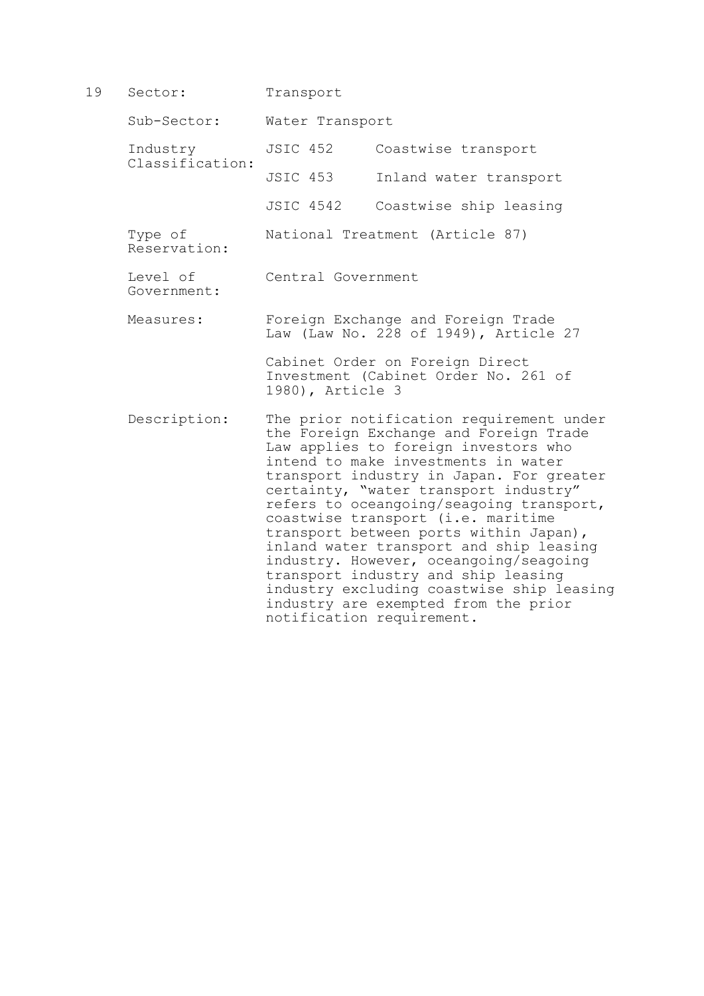19 Sector: Transport Sub-Sector: Water Transport Industry JSIC 452 Coastwise transport Classification: Inland water transport JSIC 4542 Coastwise ship leasing Type of National Treatment (Article 87) Reservation: Level of Central Government Government: Measures: Foreign Exchange and Foreign Trade Law (Law No. 228 of 1949), Article 27 Cabinet Order on Foreign Direct Investment (Cabinet Order No. 261 of 1980), Article 3 Description: The prior notification requirement under the Foreign Exchange and Foreign Trade Law applies to foreign investors who intend to make investments in water transport industry in Japan. For greater certainty, "water transport industry" refers to oceangoing/seagoing transport, coastwise transport (i.e. maritime transport between ports within Japan), inland water transport and ship leasing industry. However, oceangoing/seagoing transport industry and ship leasing industry excluding coastwise ship leasing industry are exempted from the prior

notification requirement.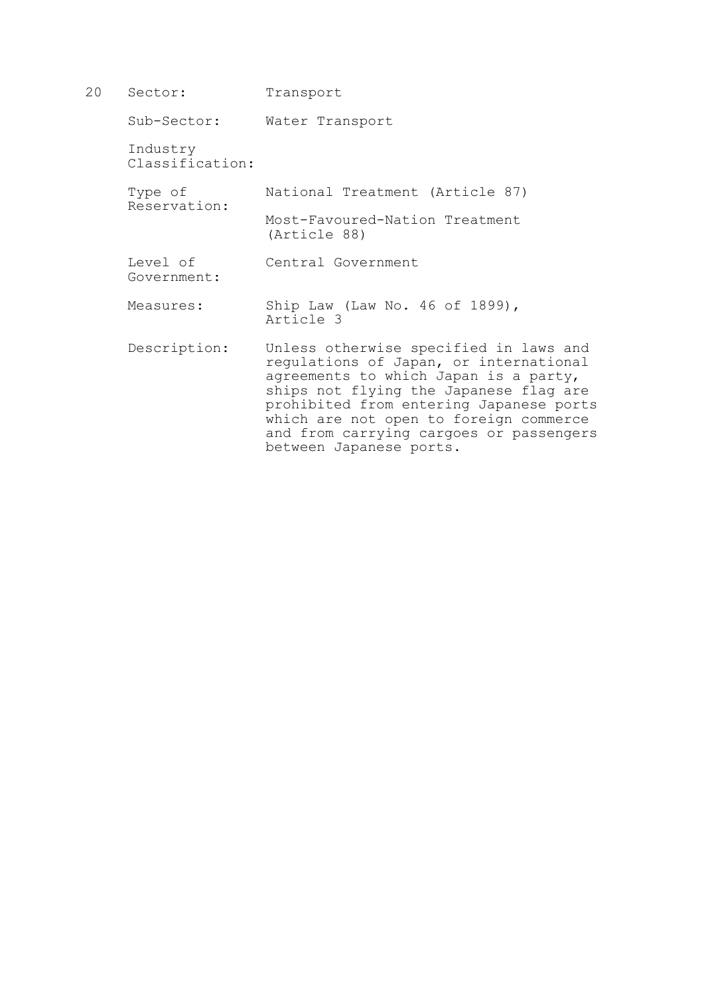| 20 | Sector:                     | Transport                                                                                                                                                                                                                                                                                                                      |
|----|-----------------------------|--------------------------------------------------------------------------------------------------------------------------------------------------------------------------------------------------------------------------------------------------------------------------------------------------------------------------------|
|    | Sub-Sector:                 | Water Transport                                                                                                                                                                                                                                                                                                                |
|    | Industry<br>Classification: |                                                                                                                                                                                                                                                                                                                                |
|    | Type of<br>Reservation:     | National Treatment (Article 87)                                                                                                                                                                                                                                                                                                |
|    |                             | Most-Favoured-Nation Treatment<br>(Article 88)                                                                                                                                                                                                                                                                                 |
|    | Level of<br>Government:     | Central Government                                                                                                                                                                                                                                                                                                             |
|    | Measures:                   | Ship Law (Law No. 46 of 1899),<br>Article 3                                                                                                                                                                                                                                                                                    |
|    | Description:                | Unless otherwise specified in laws and<br>regulations of Japan, or international<br>agreements to which Japan is a party,<br>ships not flying the Japanese flag are<br>prohibited from entering Japanese ports<br>which are not open to foreign commerce<br>and from carrying cargoes or passengers<br>between Japanese ports. |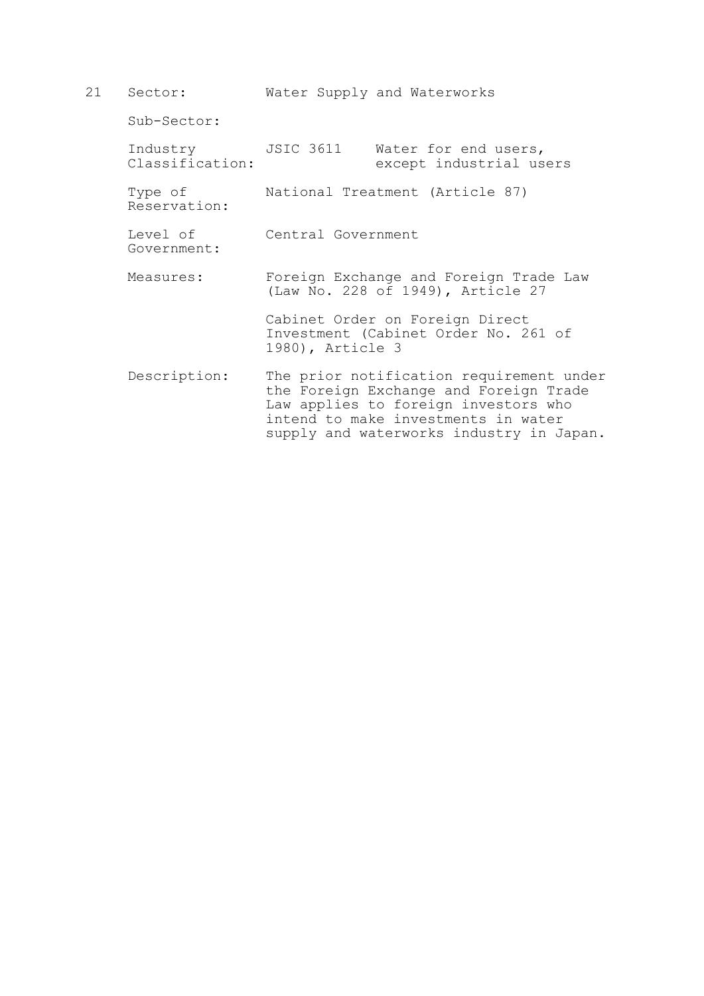21 Sector: Water Supply and Waterworks Sub-Sector: Industry JSIC 3611 Water for end users,<br>Classification: except industrial us except industrial users Type of National Treatment (Article 87) Reservation: Level of Central Government Government: Measures: Foreign Exchange and Foreign Trade Law (Law No. 228 of 1949), Article 27 Cabinet Order on Foreign Direct Investment (Cabinet Order No. 261 of 1980), Article 3 Description: The prior notification requirement under the Foreign Exchange and Foreign Trade Law applies to foreign investors who intend to make investments in water supply and waterworks industry in Japan.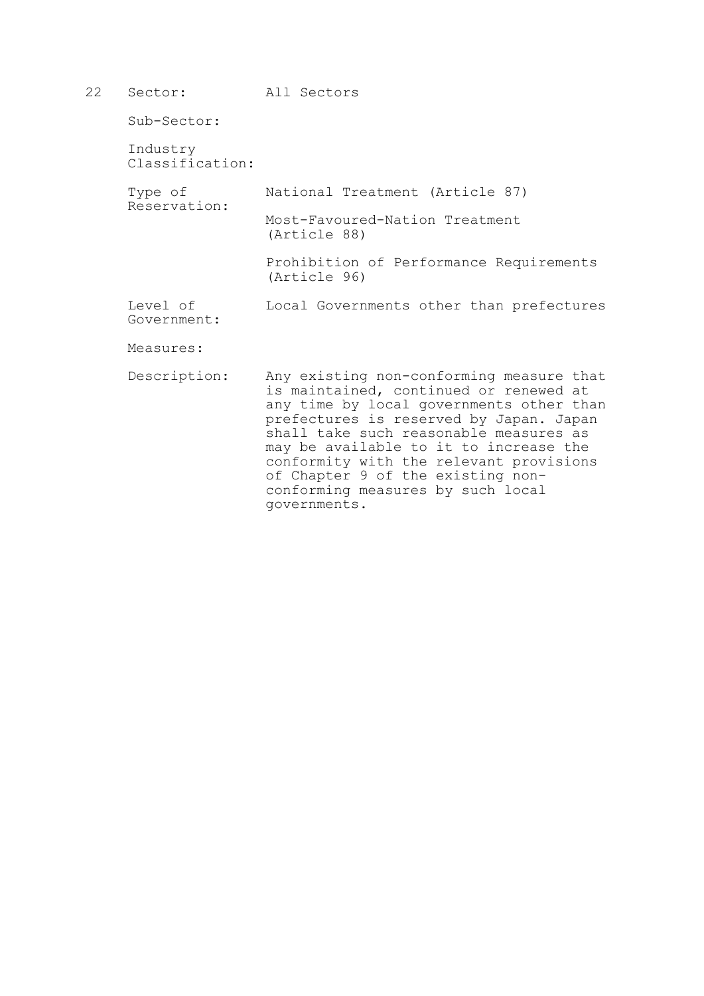- 22 Sector: All Sectors Sub-Sector: Industry Classification: Type of National Treatment (Article 87) Reservation: Most-Favoured-Nation Treatment (Article 88) Prohibition of Performance Requirements (Article 96) Level of Local Governments other than prefectures Government: Measures:
	- Description: Any existing non-conforming measure that is maintained, continued or renewed at any time by local governments other than prefectures is reserved by Japan. Japan shall take such reasonable measures as may be available to it to increase the conformity with the relevant provisions of Chapter 9 of the existing nonconforming measures by such local governments.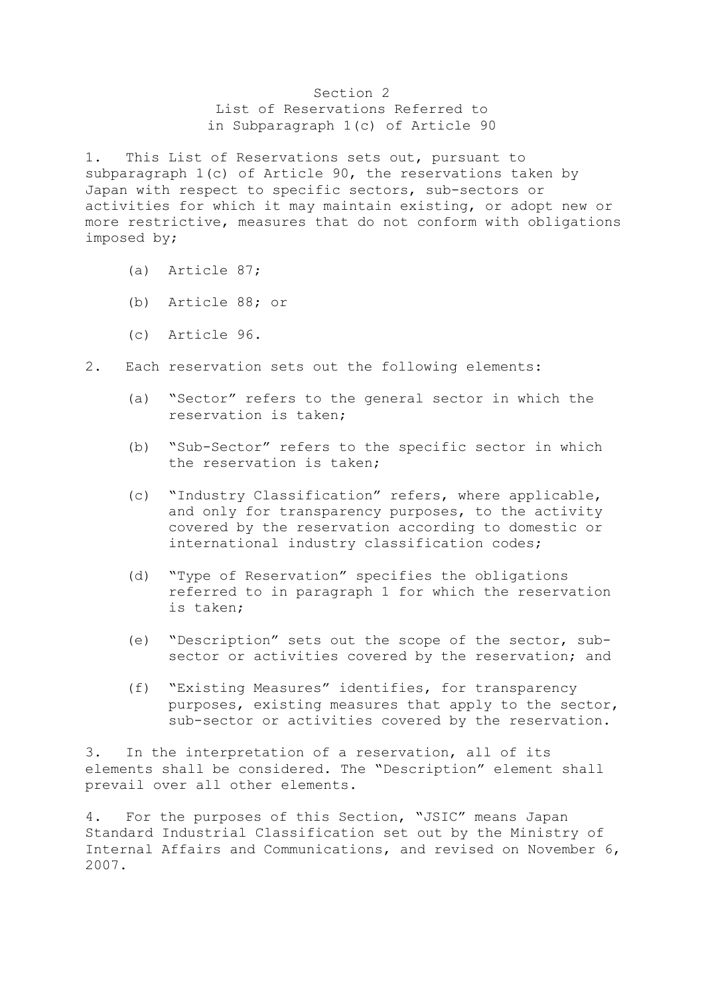## Section 2 List of Reservations Referred to in Subparagraph 1(c) of Article 90

1. This List of Reservations sets out, pursuant to subparagraph 1(c) of Article 90, the reservations taken by Japan with respect to specific sectors, sub-sectors or activities for which it may maintain existing, or adopt new or more restrictive, measures that do not conform with obligations imposed by;

- (a) Article 87;
- (b) Article 88; or
- (c) Article 96.
- 2. Each reservation sets out the following elements:
	- (a) "Sector" refers to the general sector in which the reservation is taken;
	- (b) "Sub-Sector" refers to the specific sector in which the reservation is taken;
	- (c) "Industry Classification" refers, where applicable, and only for transparency purposes, to the activity covered by the reservation according to domestic or international industry classification codes;
	- (d) "Type of Reservation" specifies the obligations referred to in paragraph 1 for which the reservation is taken;
	- (e) "Description" sets out the scope of the sector, subsector or activities covered by the reservation; and
	- (f) "Existing Measures" identifies, for transparency purposes, existing measures that apply to the sector, sub-sector or activities covered by the reservation.

3. In the interpretation of a reservation, all of its elements shall be considered. The "Description" element shall prevail over all other elements.

4. For the purposes of this Section, "JSIC" means Japan Standard Industrial Classification set out by the Ministry of Internal Affairs and Communications, and revised on November 6, 2007.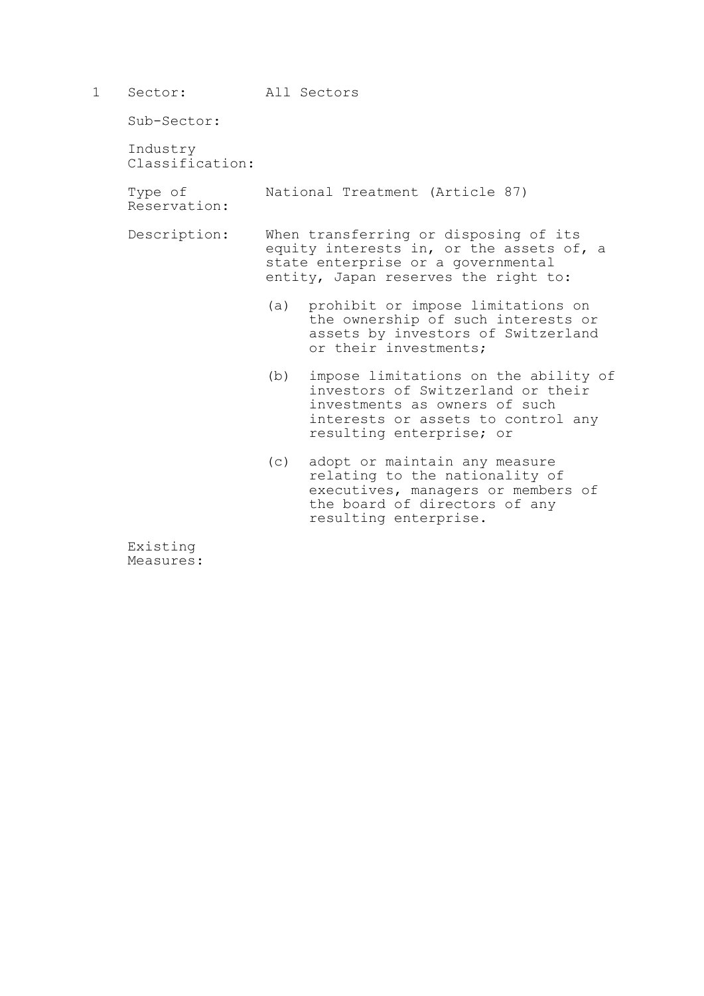| 1 Sector:   | All Sectors |
|-------------|-------------|
| Sub-Sector: |             |

 Industry Classification:

Type of National Treatment (Article 87)

Reservation:

 Description: When transferring or disposing of its equity interests in, or the assets of, a state enterprise or a governmental entity, Japan reserves the right to:

- (a) prohibit or impose limitations on the ownership of such interests or assets by investors of Switzerland or their investments;
- (b) impose limitations on the ability of investors of Switzerland or their investments as owners of such interests or assets to control any resulting enterprise; or
- (c) adopt or maintain any measure relating to the nationality of executives, managers or members of the board of directors of any resulting enterprise.

 Existing Measures: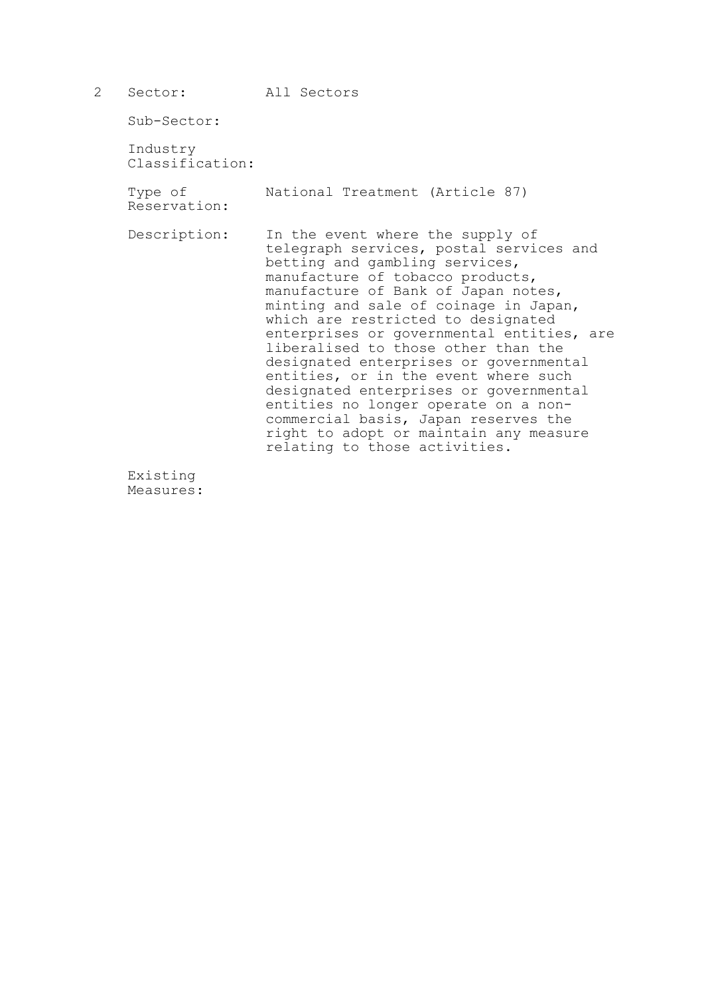| 2 | Sector:                     | All Sectors                                                                                                                                                                                                                                                                                                                                                                                                                                                                                                                                                                                                                                        |
|---|-----------------------------|----------------------------------------------------------------------------------------------------------------------------------------------------------------------------------------------------------------------------------------------------------------------------------------------------------------------------------------------------------------------------------------------------------------------------------------------------------------------------------------------------------------------------------------------------------------------------------------------------------------------------------------------------|
|   | Sub-Sector:                 |                                                                                                                                                                                                                                                                                                                                                                                                                                                                                                                                                                                                                                                    |
|   | Industry<br>Classification: |                                                                                                                                                                                                                                                                                                                                                                                                                                                                                                                                                                                                                                                    |
|   | Type of<br>Reservation:     | National Treatment (Article 87)                                                                                                                                                                                                                                                                                                                                                                                                                                                                                                                                                                                                                    |
|   | Description:                | In the event where the supply of<br>telegraph services, postal services and<br>betting and gambling services,<br>manufacture of tobacco products,<br>manufacture of Bank of Japan notes,<br>minting and sale of coinage in Japan,<br>which are restricted to designated<br>enterprises or governmental entities, are<br>liberalised to those other than the<br>designated enterprises or governmental<br>entities, or in the event where such<br>designated enterprises or governmental<br>entities no longer operate on a non-<br>commercial basis, Japan reserves the<br>right to adopt or maintain any measure<br>relating to those activities. |
|   | Existing                    |                                                                                                                                                                                                                                                                                                                                                                                                                                                                                                                                                                                                                                                    |

Measures: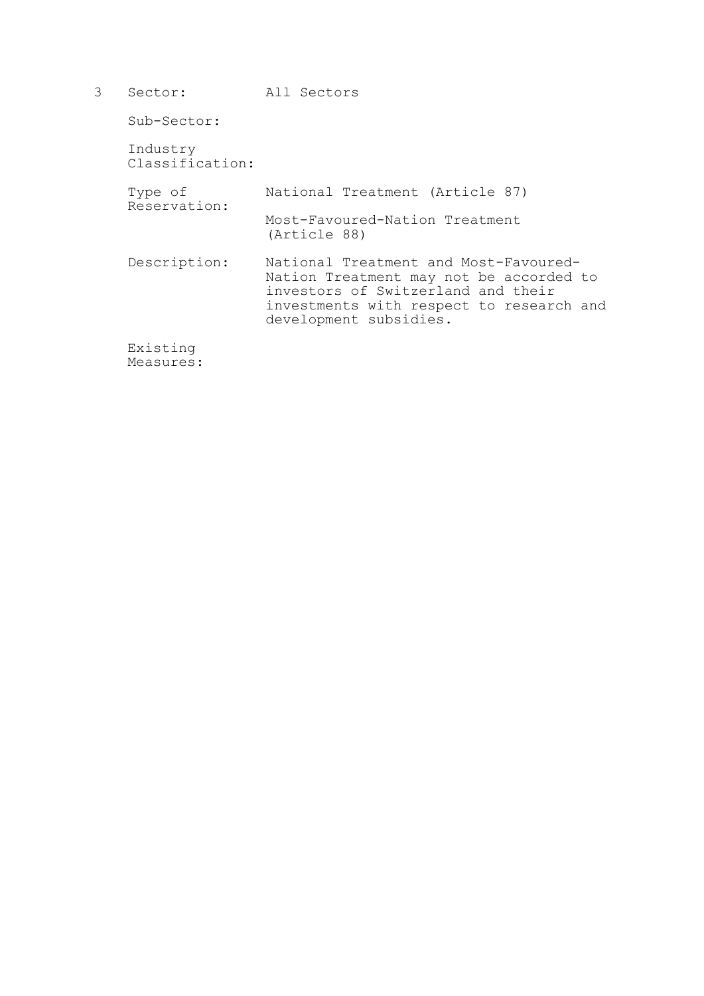3 Sector: All Sectors Sub-Sector: Industry Classification: Type of National Treatment (Article 87) Reservation: Most-Favoured-Nation Treatment (Article 88) Description: National Treatment and Most-Favoured-Nation Treatment may not be accorded to investors of Switzerland and their investments with respect to research and development subsidies. Existing

Measures: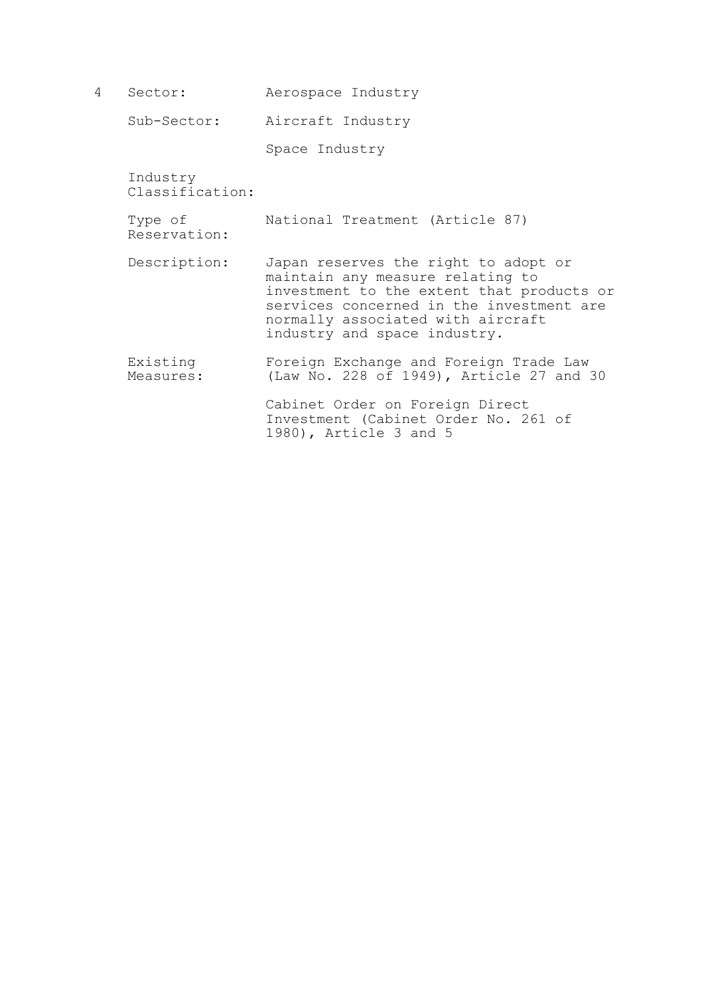4 Sector: Aerospace Industry

Sub-Sector: Aircraft Industry

Space Industry

 Industry Classification:

 Type of National Treatment (Article 87) Reservation:

- Description: Japan reserves the right to adopt or maintain any measure relating to investment to the extent that products or services concerned in the investment are normally associated with aircraft industry and space industry.
- Existing Foreign Exchange and Foreign Trade Law<br>Measures: (Law No. 228 of 1949), Article 27 and (Law No. 228 of 1949), Article 27 and 30

 Cabinet Order on Foreign Direct Investment (Cabinet Order No. 261 of 1980), Article 3 and 5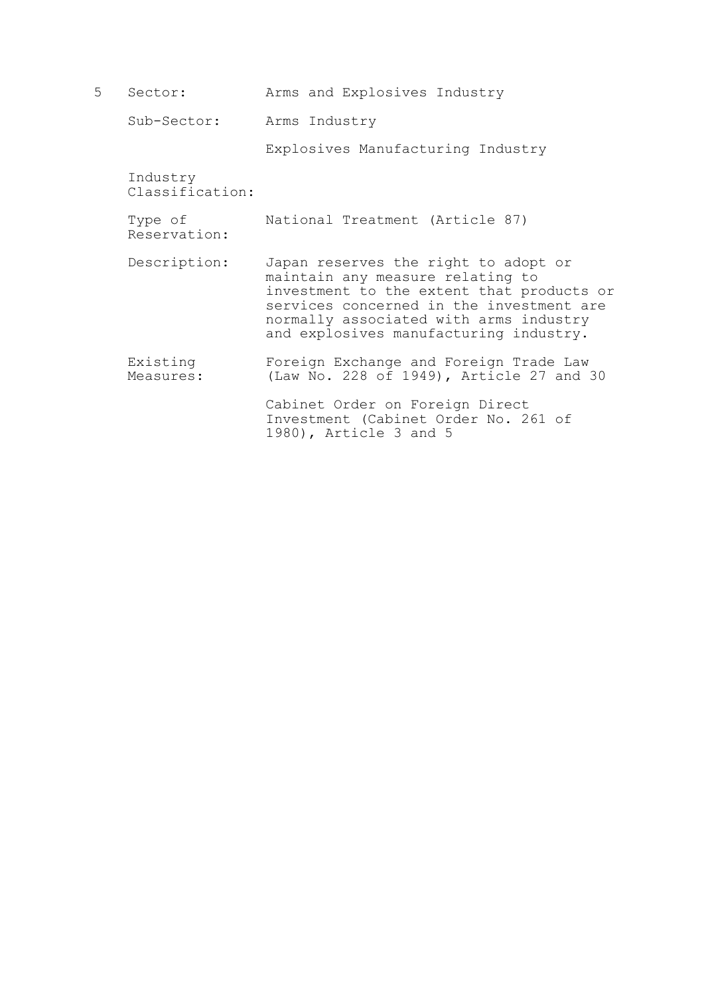5 Sector: Arms and Explosives Industry Sub-Sector: Arms Industry Explosives Manufacturing Industry Industry Classification: Type of National Treatment (Article 87) Reservation: Description: Japan reserves the right to adopt or maintain any measure relating to investment to the extent that products or services concerned in the investment are normally associated with arms industry and explosives manufacturing industry. Existing Foreign Exchange and Foreign Trade Law<br>Measures: (Law No. 228 of 1949), Article 27 and (Law No. 228 of 1949), Article 27 and 30 Cabinet Order on Foreign Direct Investment (Cabinet Order No. 261 of 1980), Article 3 and 5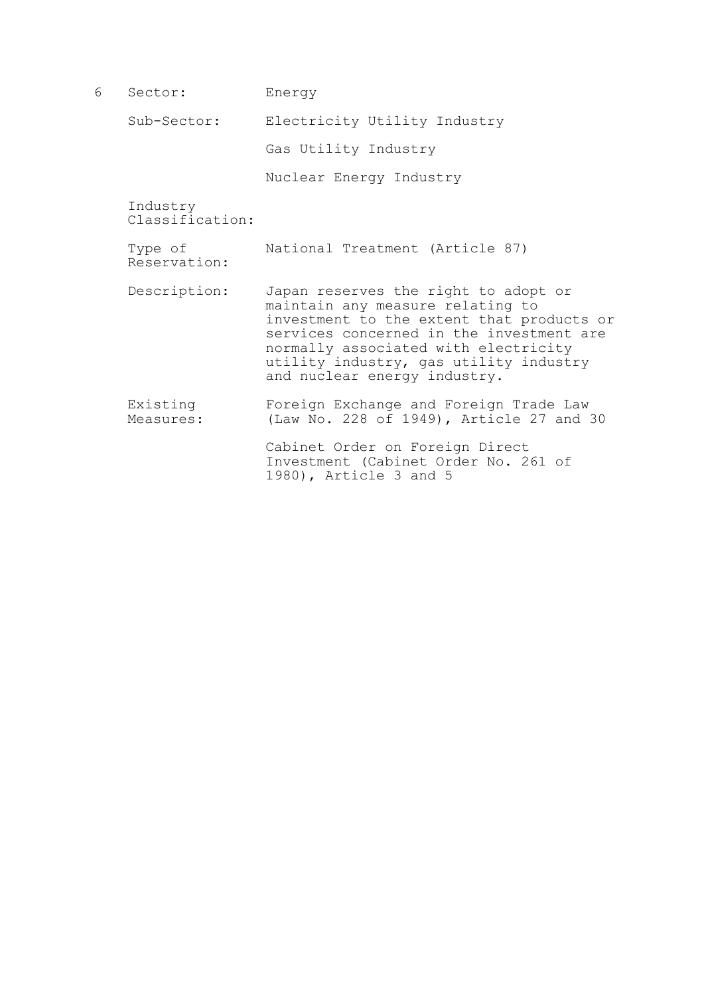| 6 | Sector:                     | Energy                                                                                                                                                                                                                                                                              |
|---|-----------------------------|-------------------------------------------------------------------------------------------------------------------------------------------------------------------------------------------------------------------------------------------------------------------------------------|
|   | Sub-Sector:                 | Electricity Utility Industry                                                                                                                                                                                                                                                        |
|   |                             | Gas Utility Industry                                                                                                                                                                                                                                                                |
|   |                             | Nuclear Energy Industry                                                                                                                                                                                                                                                             |
|   | Industry<br>Classification: |                                                                                                                                                                                                                                                                                     |
|   | Type of<br>Reservation:     | National Treatment (Article 87)                                                                                                                                                                                                                                                     |
|   | Description:                | Japan reserves the right to adopt or<br>maintain any measure relating to<br>investment to the extent that products or<br>services concerned in the investment are<br>normally associated with electricity<br>utility industry, gas utility industry<br>and nuclear energy industry. |
|   | Existing<br>Measures:       | Foreign Exchange and Foreign Trade Law<br>(Law No. 228 of 1949), Article 27 and 30                                                                                                                                                                                                  |
|   |                             | Cabinet Order on Foreign Direct<br>Investment (Cabinet Order No. 261 of<br>1980), Article 3 and 5                                                                                                                                                                                   |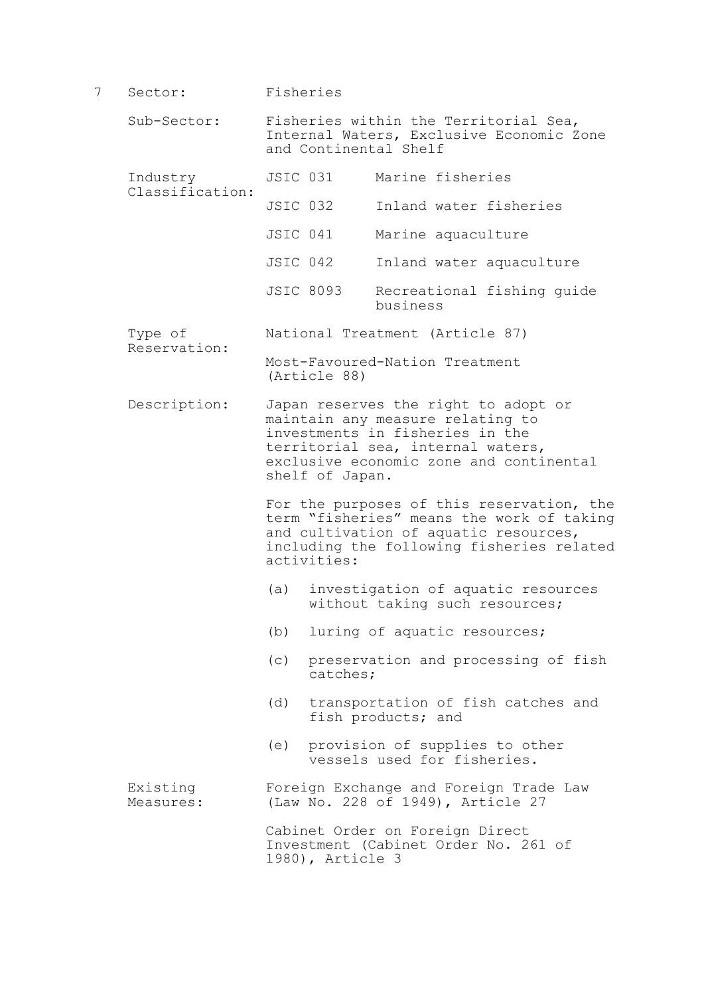7 Sector: Fisheries

Reservation:

- Sub-Sector: Fisheries within the Territorial Sea, Internal Waters, Exclusive Economic Zone and Continental Shelf
- Industry JSIC 031 Marine fisheries Classification:
	- JSIC 032 Inland water fisheries
		- JSIC 041 Marine aquaculture
		- JSIC 042 Inland water aquaculture
		- JSIC 8093 Recreational fishing guide business
- Type of National Treatment (Article 87)

 Most-Favoured-Nation Treatment (Article 88)

 Description: Japan reserves the right to adopt or maintain any measure relating to investments in fisheries in the territorial sea, internal waters, exclusive economic zone and continental shelf of Japan.

For the purposes of this reservation, the term "fisheries" means the work of taking and cultivation of aquatic resources, including the following fisheries related activities:

- (a) investigation of aquatic resources without taking such resources;
- (b) luring of aquatic resources;
- (c) preservation and processing of fish catches;
- (d) transportation of fish catches and fish products; and
- (e) provision of supplies to other vessels used for fisheries.

 Existing Foreign Exchange and Foreign Trade Law Measures: (Law No. 228 of 1949), Article 27

> Cabinet Order on Foreign Direct Investment (Cabinet Order No. 261 of 1980), Article 3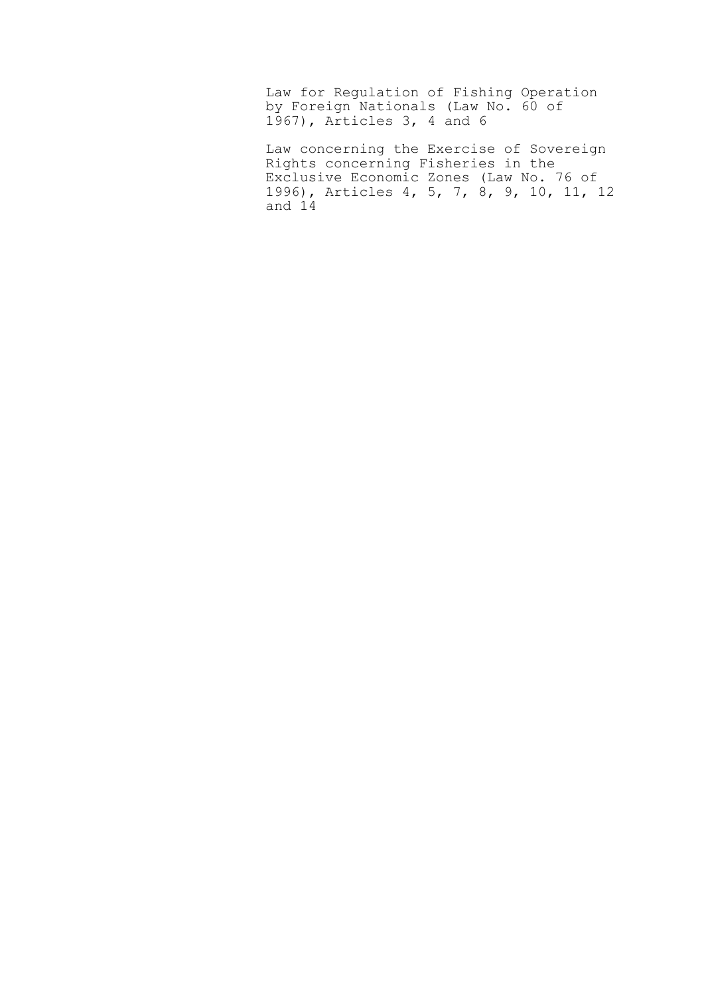Law for Regulation of Fishing Operation by Foreign Nationals (Law No. 60 of 1967), Articles 3, 4 and 6

Law concerning the Exercise of Sovereign Rights concerning Fisheries in the Exclusive Economic Zones (Law No. 76 of 1996), Articles 4, 5, 7, 8, 9, 10, 11, 12 and 14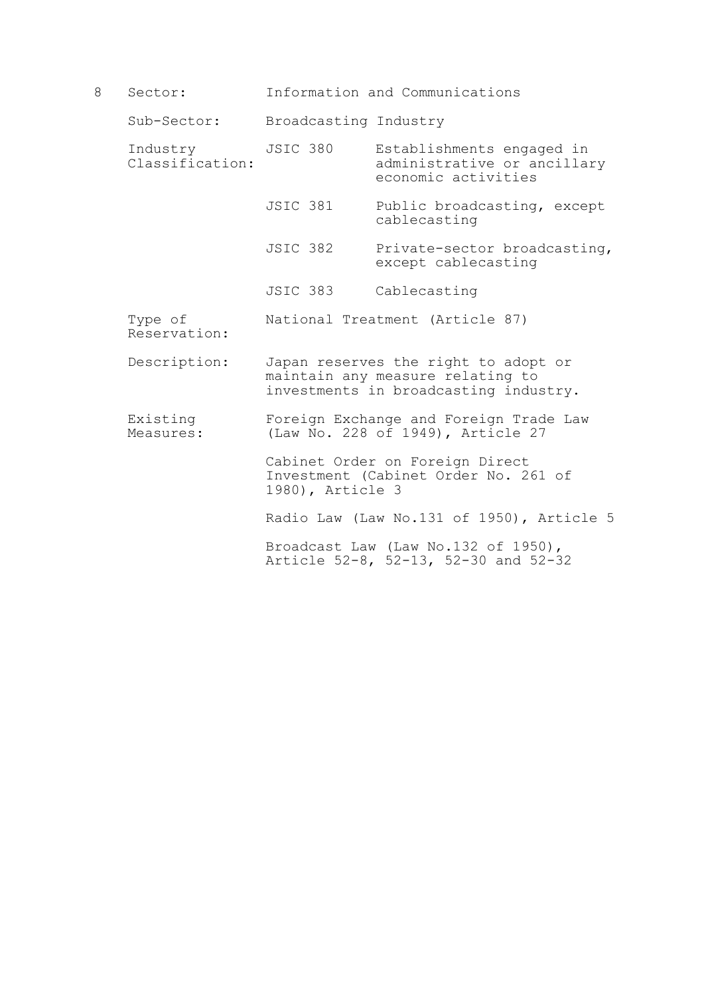8 Sector: Information and Communications

Sub-Sector: Broadcasting Industry

- Industry JSIC 380 Establishments engaged in<br>Classification: administrative or ancillar administrative or ancillary economic activities
	- JSIC 381 Public broadcasting, except cablecasting
	- JSIC 382 Private-sector broadcasting, except cablecasting
	- JSIC 383 Cablecasting
- Type of National Treatment (Article 87) Reservation:
- Description: Japan reserves the right to adopt or maintain any measure relating to investments in broadcasting industry.
- Existing Foreign Exchange and Foreign Trade Law<br>Measures: (Law No. 228 of 1949), Article 27 (Law No. 228 of 1949), Article 27

 Cabinet Order on Foreign Direct Investment (Cabinet Order No. 261 of 1980), Article 3

Radio Law (Law No.131 of 1950), Article 5

Broadcast Law (Law No.132 of 1950), Article 52-8, 52-13, 52-30 and 52-32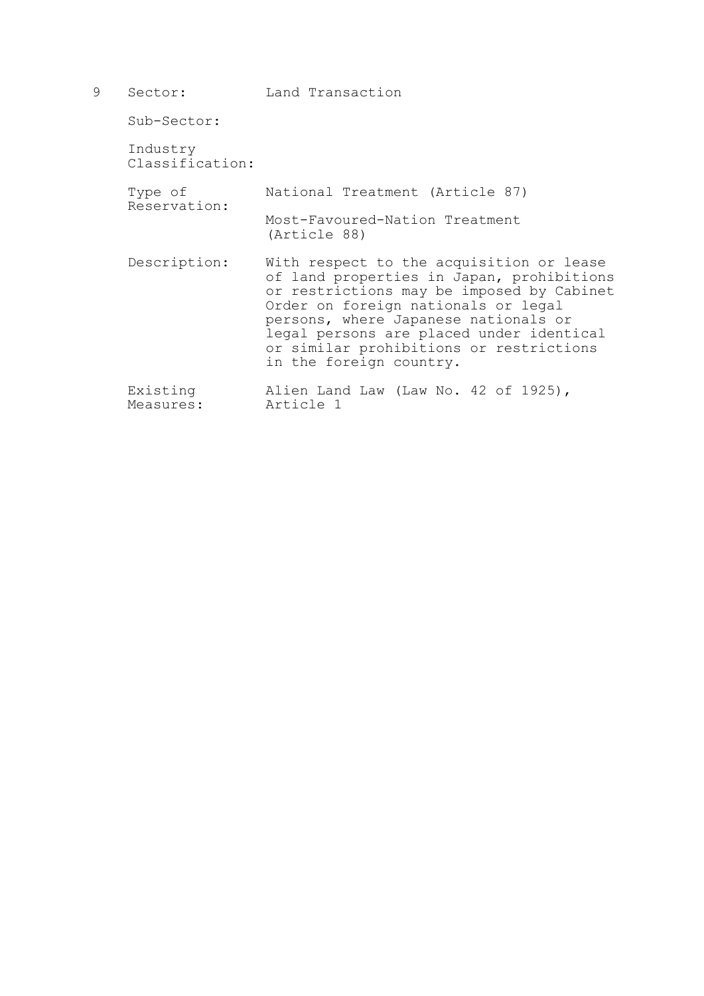| 9 | Sector:                     | Land Transaction                                                                                                                                                                                                                                                                                                                    |
|---|-----------------------------|-------------------------------------------------------------------------------------------------------------------------------------------------------------------------------------------------------------------------------------------------------------------------------------------------------------------------------------|
|   | Sub-Sector:                 |                                                                                                                                                                                                                                                                                                                                     |
|   | Industry<br>Classification: |                                                                                                                                                                                                                                                                                                                                     |
|   | Type of<br>Reservation:     | National Treatment (Article 87)                                                                                                                                                                                                                                                                                                     |
|   |                             | Most-Favoured-Nation Treatment<br>(Article 88)                                                                                                                                                                                                                                                                                      |
|   | Description:                | With respect to the acquisition or lease<br>of land properties in Japan, prohibitions<br>or restrictions may be imposed by Cabinet<br>Order on foreign nationals or legal<br>persons, where Japanese nationals or<br>legal persons are placed under identical<br>or similar prohibitions or restrictions<br>in the foreign country. |
|   | Existing<br>Measures:       | Alien Land Law (Law No. 42 of 1925),<br>Article 1                                                                                                                                                                                                                                                                                   |